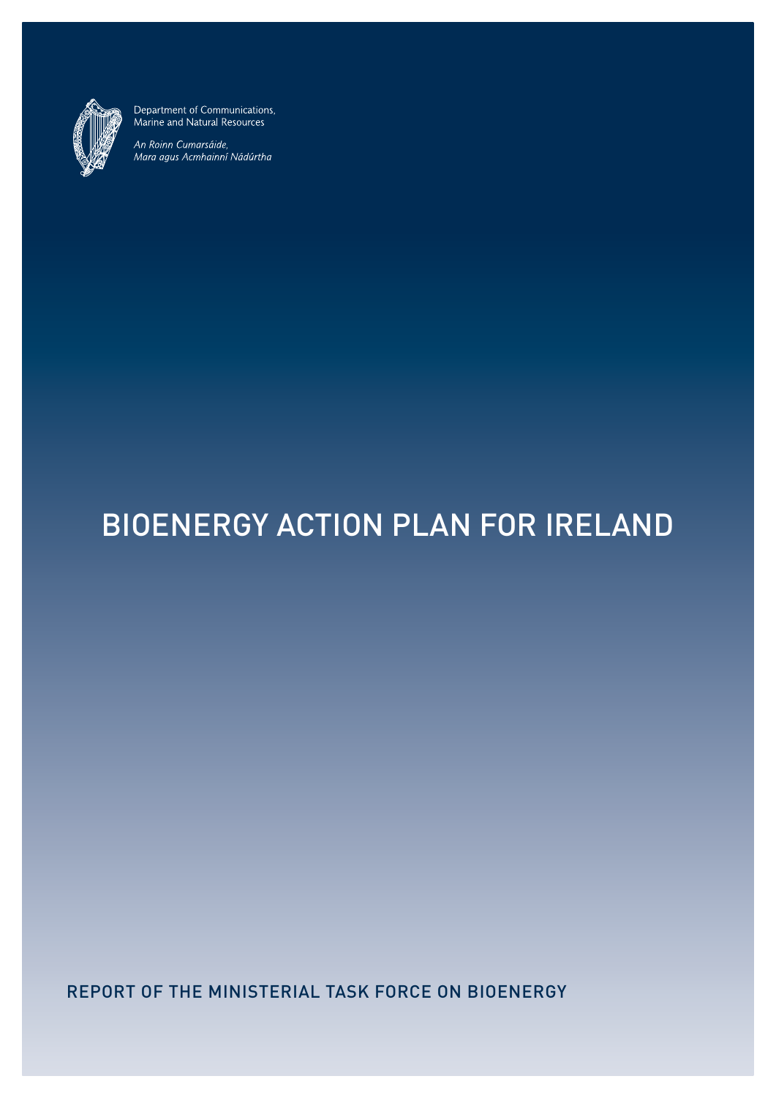

Department of Communications, Marine and Natural Resources

An Roinn Cumarsáide,<br>Mara agus Acmhainní Nádúrtha

# BioEnergy Action Plan for Ireland

Report of the Ministerial Task Force on BioEnergy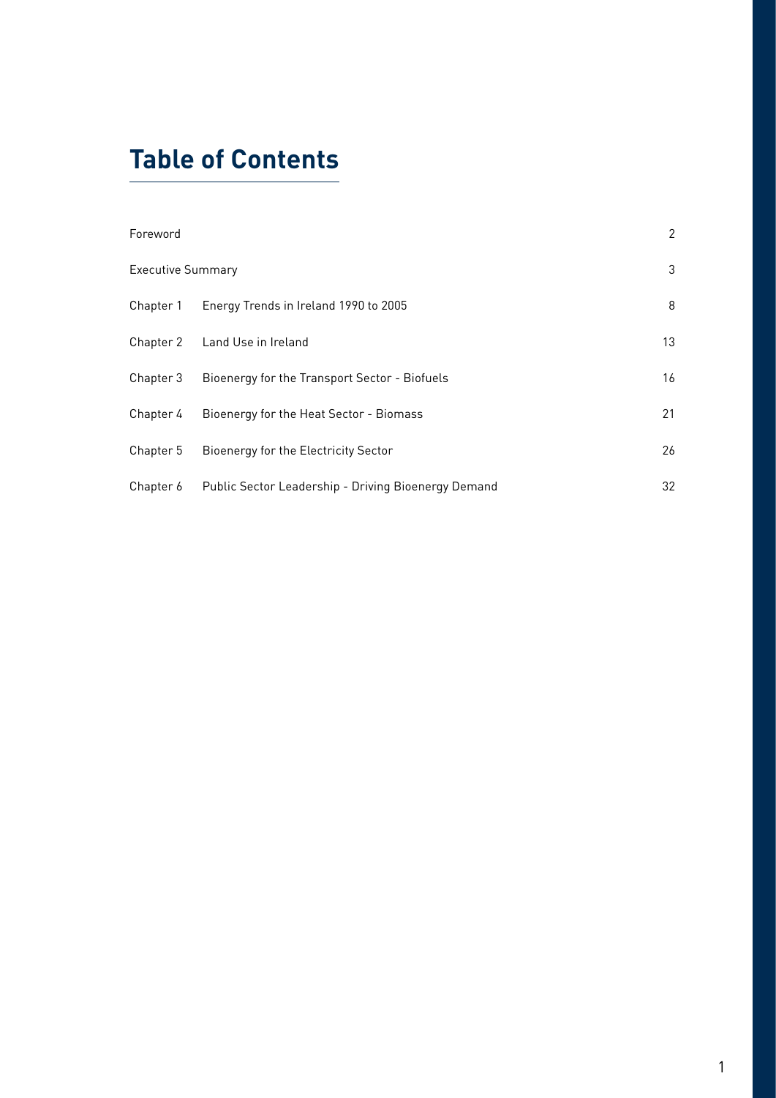# **Table of Contents**

| Foreword                 |                                                     | 2  |
|--------------------------|-----------------------------------------------------|----|
| <b>Executive Summary</b> |                                                     | 3  |
|                          | Chapter 1 Energy Trends in Ireland 1990 to 2005     | 8  |
|                          | Chapter 2 Land Use in Ireland                       | 13 |
| Chapter 3                | Bioenergy for the Transport Sector - Biofuels       | 16 |
| Chapter 4                | Bioenergy for the Heat Sector - Biomass             | 21 |
| Chapter 5                | Bioenergy for the Electricity Sector                | 26 |
| Chapter 6                | Public Sector Leadership - Driving Bioenergy Demand | 32 |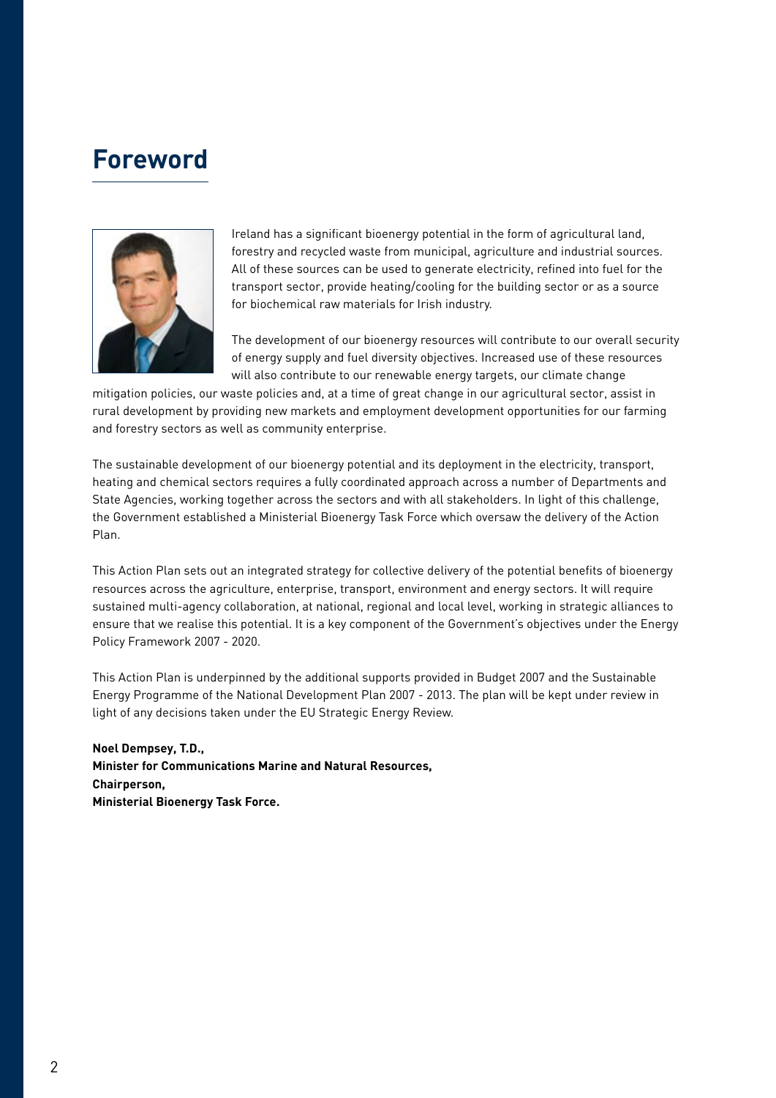# **Foreword**



Ireland has a significant bioenergy potential in the form of agricultural land, forestry and recycled waste from municipal, agriculture and industrial sources. All of these sources can be used to generate electricity, refined into fuel for the transport sector, provide heating/cooling for the building sector or as a source for biochemical raw materials for Irish industry.

The development of our bioenergy resources will contribute to our overall security of energy supply and fuel diversity objectives. Increased use of these resources will also contribute to our renewable energy targets, our climate change

mitigation policies, our waste policies and, at a time of great change in our agricultural sector, assist in rural development by providing new markets and employment development opportunities for our farming and forestry sectors as well as community enterprise.

The sustainable development of our bioenergy potential and its deployment in the electricity, transport, heating and chemical sectors requires a fully coordinated approach across a number of Departments and State Agencies, working together across the sectors and with all stakeholders. In light of this challenge, the Government established a Ministerial Bioenergy Task Force which oversaw the delivery of the Action Plan.

This Action Plan sets out an integrated strategy for collective delivery of the potential benefits of bioenergy resources across the agriculture, enterprise, transport, environment and energy sectors. It will require sustained multi-agency collaboration, at national, regional and local level, working in strategic alliances to ensure that we realise this potential. It is a key component of the Government's objectives under the Energy Policy Framework 2007 - 2020.

This Action Plan is underpinned by the additional supports provided in Budget 2007 and the Sustainable Energy Programme of the National Development Plan 2007 - 2013. The plan will be kept under review in light of any decisions taken under the EU Strategic Energy Review.

**Noel Dempsey, T.D., Minister for Communications Marine and Natural Resources, Chairperson, Ministerial Bioenergy Task Force.**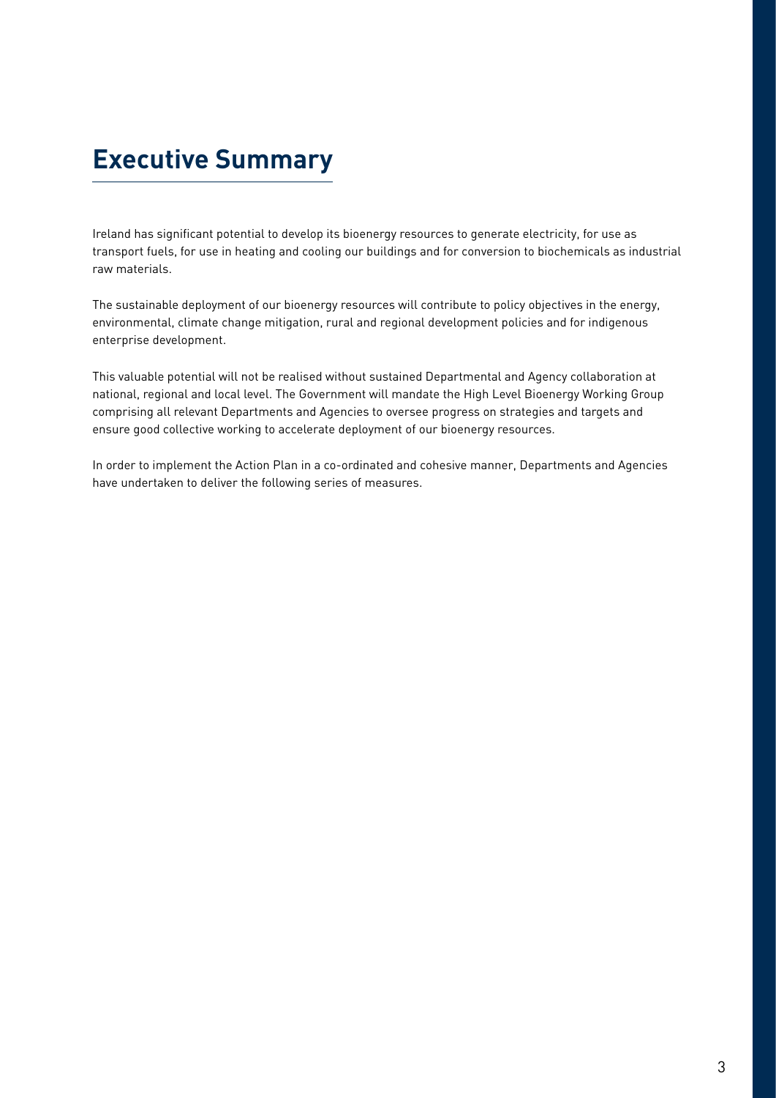# **Executive Summary**

Ireland has significant potential to develop its bioenergy resources to generate electricity, for use as transport fuels, for use in heating and cooling our buildings and for conversion to biochemicals as industrial raw materials.

The sustainable deployment of our bioenergy resources will contribute to policy objectives in the energy, environmental, climate change mitigation, rural and regional development policies and for indigenous enterprise development.

This valuable potential will not be realised without sustained Departmental and Agency collaboration at national, regional and local level. The Government will mandate the High Level Bioenergy Working Group comprising all relevant Departments and Agencies to oversee progress on strategies and targets and ensure good collective working to accelerate deployment of our bioenergy resources.

In order to implement the Action Plan in a co-ordinated and cohesive manner, Departments and Agencies have undertaken to deliver the following series of measures.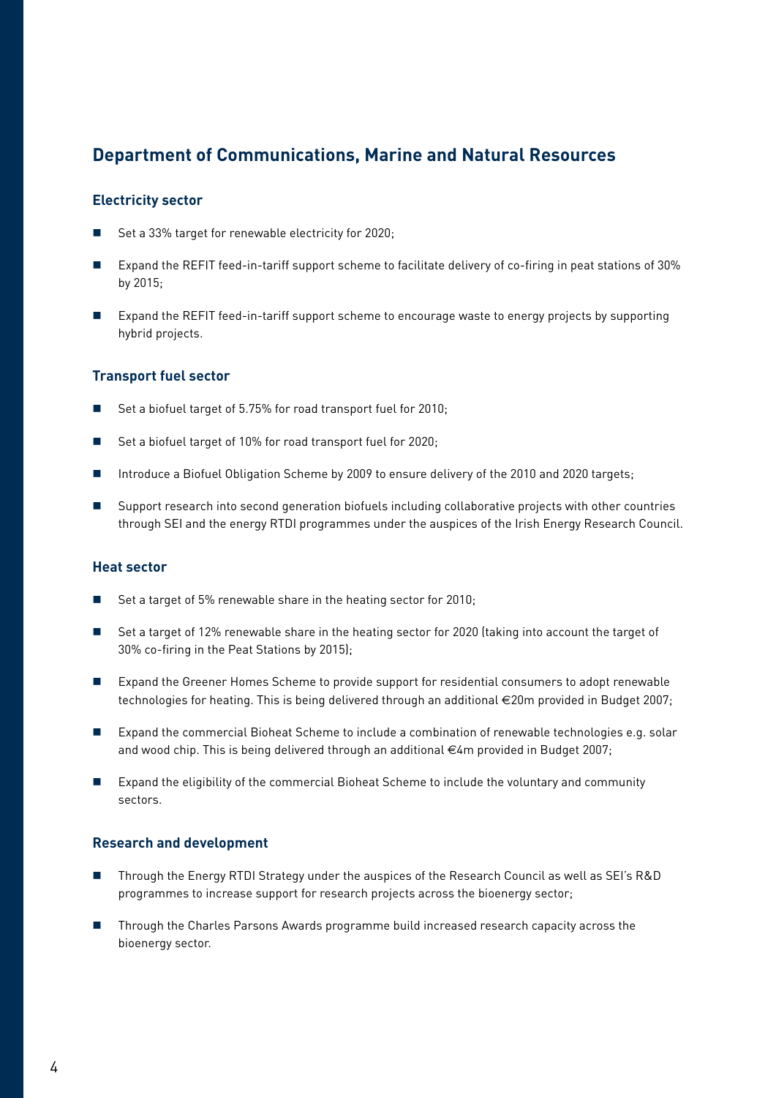# **Department of Communications, Marine and Natural Resources**

#### **Electricity sector**

- Set a 33% target for renewable electricity for 2020;
- Expand the REFIT feed-in-tariff support scheme to facilitate delivery of co-firing in peat stations of 30% by 2015;
- Expand the REFIT feed-in-tariff support scheme to encourage waste to energy projects by supporting hybrid projects.

#### **Transport fuel sector**

- Set a biofuel target of 5.75% for road transport fuel for 2010;
- Set a biofuel target of 10% for road transport fuel for 2020;
- Introduce a Biofuel Obligation Scheme by 2009 to ensure delivery of the 2010 and 2020 targets;
- Support research into second generation biofuels including collaborative projects with other countries through SEI and the energy RTDI programmes under the auspices of the Irish Energy Research Council.

#### **Heat sector**

- Set a target of 5% renewable share in the heating sector for 2010;
- Set a target of 12% renewable share in the heating sector for 2020 (taking into account the target of 30% co-firing in the Peat Stations by 2015);
- Expand the Greener Homes Scheme to provide support for residential consumers to adopt renewable technologies for heating. This is being delivered through an additional €20m provided in Budget 2007;
- Expand the commercial Bioheat Scheme to include a combination of renewable technologies e.g. solar and wood chip. This is being delivered through an additional €4m provided in Budget 2007;
- n Expand the eligibility of the commercial Bioheat Scheme to include the voluntary and community sectors.

#### **Research and development**

- Through the Energy RTDI Strategy under the auspices of the Research Council as well as SEI's R&D programmes to increase support for research projects across the bioenergy sector;
- n Through the Charles Parsons Awards programme build increased research capacity across the bioenergy sector.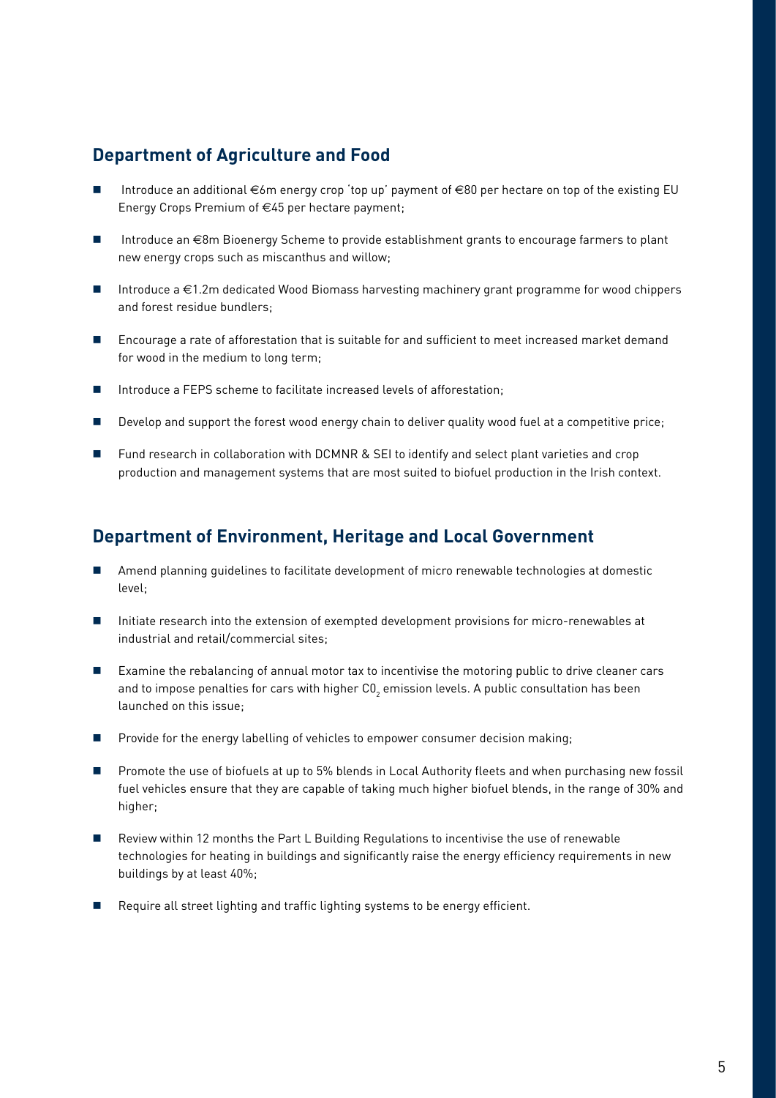### **Department of Agriculture and Food**

- Introduce an additional €6m energy crop 'top up' payment of €80 per hectare on top of the existing EU Energy Crops Premium of €45 per hectare payment;
- Introduce an €8m Bioenergy Scheme to provide establishment grants to encourage farmers to plant new energy crops such as miscanthus and willow;
- n Introduce a €1.2m dedicated Wood Biomass harvesting machinery grant programme for wood chippers and forest residue bundlers;
- Encourage a rate of afforestation that is suitable for and sufficient to meet increased market demand for wood in the medium to long term;
- $\blacksquare$  Introduce a FEPS scheme to facilitate increased levels of afforestation;
- Develop and support the forest wood energy chain to deliver quality wood fuel at a competitive price;
- Fund research in collaboration with DCMNR & SEI to identify and select plant varieties and crop production and management systems that are most suited to biofuel production in the Irish context.

### **Department of Environment, Heritage and Local Government**

- Amend planning quidelines to facilitate development of micro renewable technologies at domestic level;
- **n** Initiate research into the extension of exempted development provisions for micro-renewables at industrial and retail/commercial sites;
- Examine the rebalancing of annual motor tax to incentivise the motoring public to drive cleaner cars and to impose penalties for cars with higher CO<sub>2</sub> emission levels. A public consultation has been launched on this issue;
- Provide for the energy labelling of vehicles to empower consumer decision making;
- **n** Promote the use of biofuels at up to 5% blends in Local Authority fleets and when purchasing new fossil fuel vehicles ensure that they are capable of taking much higher biofuel blends, in the range of 30% and higher;
- n Review within 12 months the Part L Building Regulations to incentivise the use of renewable technologies for heating in buildings and significantly raise the energy efficiency requirements in new buildings by at least 40%;
- Require all street lighting and traffic lighting systems to be energy efficient.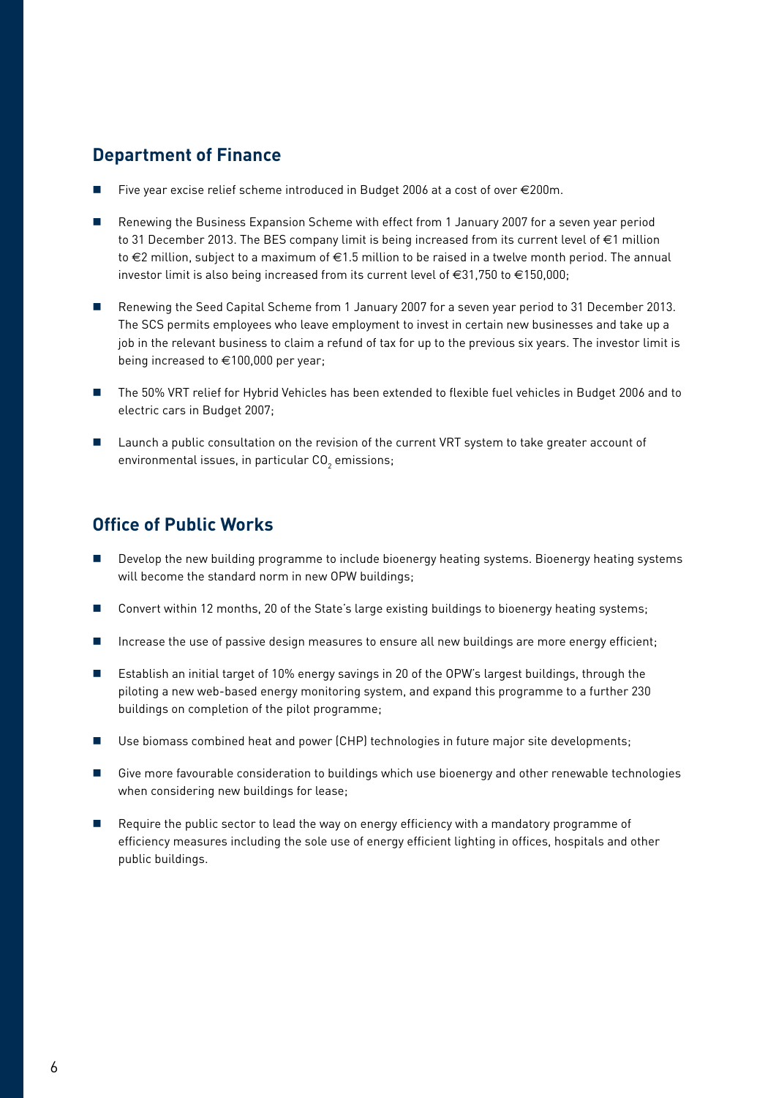## **Department of Finance**

- Five year excise relief scheme introduced in Budget 2006 at a cost of over €200m.
- n Renewing the Business Expansion Scheme with effect from 1 January 2007 for a seven year period to 31 December 2013. The BES company limit is being increased from its current level of €1 million to €2 million, subject to a maximum of €1.5 million to be raised in a twelve month period. The annual investor limit is also being increased from its current level of €31,750 to €150,000;
- n Renewing the Seed Capital Scheme from 1 January 2007 for a seven year period to 31 December 2013. The SCS permits employees who leave employment to invest in certain new businesses and take up a job in the relevant business to claim a refund of tax for up to the previous six years. The investor limit is being increased to €100,000 per year;
- The 50% VRT relief for Hybrid Vehicles has been extended to flexible fuel vehicles in Budget 2006 and to electric cars in Budget 2007;
- Launch a public consultation on the revision of the current VRT system to take greater account of environmental issues, in particular  $CO<sub>2</sub>$  emissions;

### **Office of Public Works**

- **n** Develop the new building programme to include bioenergy heating systems. Bioenergy heating systems will become the standard norm in new OPW buildings;
- Convert within 12 months, 20 of the State's large existing buildings to bioenergy heating systems;
- Increase the use of passive design measures to ensure all new buildings are more energy efficient;
- Establish an initial target of 10% energy savings in 20 of the OPW's largest buildings, through the piloting a new web-based energy monitoring system, and expand this programme to a further 230 buildings on completion of the pilot programme;
- Use biomass combined heat and power (CHP) technologies in future major site developments;
- Give more favourable consideration to buildings which use bioenergy and other renewable technologies when considering new buildings for lease;
- n Require the public sector to lead the way on energy efficiency with a mandatory programme of efficiency measures including the sole use of energy efficient lighting in offices, hospitals and other public buildings.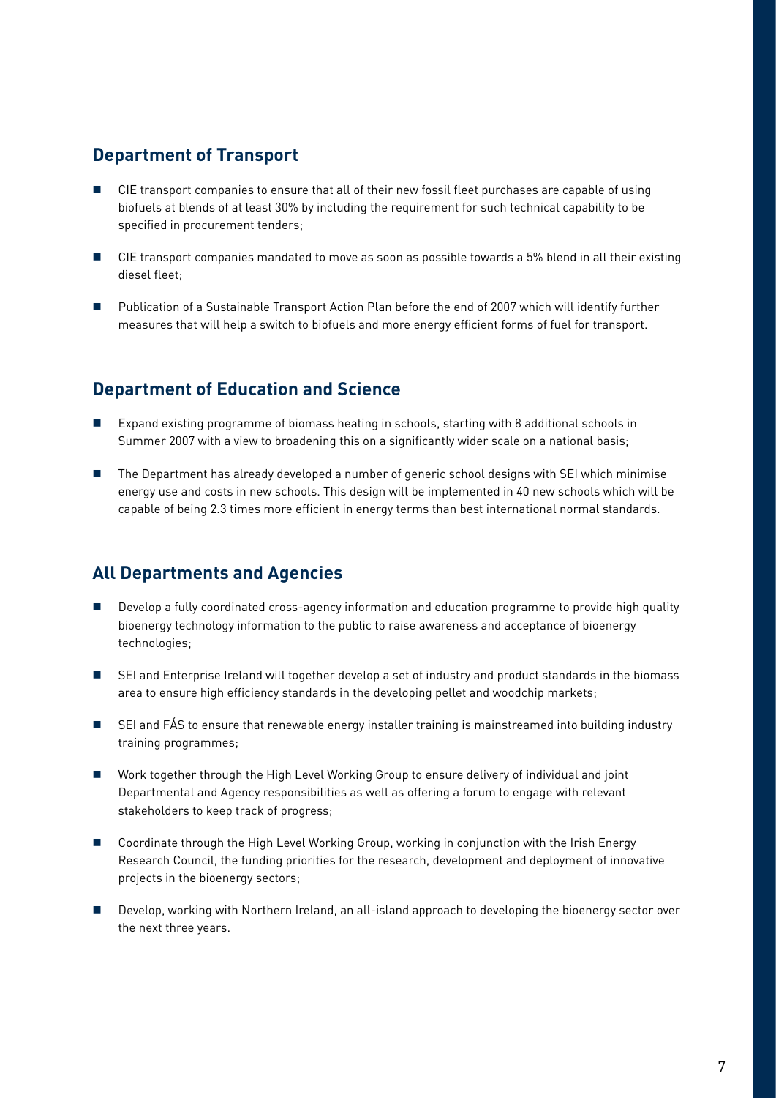## **Department of Transport**

- n CIE transport companies to ensure that all of their new fossil fleet purchases are capable of using biofuels at blends of at least 30% by including the requirement for such technical capability to be specified in procurement tenders;
- CIE transport companies mandated to move as soon as possible towards a 5% blend in all their existing diesel fleet;
- Publication of a Sustainable Transport Action Plan before the end of 2007 which will identify further measures that will help a switch to biofuels and more energy efficient forms of fuel for transport.

### **Department of Education and Science**

- Expand existing programme of biomass heating in schools, starting with 8 additional schools in Summer 2007 with a view to broadening this on a significantly wider scale on a national basis;
- The Department has already developed a number of generic school designs with SEI which minimise energy use and costs in new schools. This design will be implemented in 40 new schools which will be capable of being 2.3 times more efficient in energy terms than best international normal standards.

## **All Departments and Agencies**

- Develop a fully coordinated cross-agency information and education programme to provide high quality bioenergy technology information to the public to raise awareness and acceptance of bioenergy technologies;
- SEI and Enterprise Ireland will together develop a set of industry and product standards in the biomass area to ensure high efficiency standards in the developing pellet and woodchip markets;
- SEI and FÁS to ensure that renewable energy installer training is mainstreamed into building industry training programmes;
- n Work together through the High Level Working Group to ensure delivery of individual and joint Departmental and Agency responsibilities as well as offering a forum to engage with relevant stakeholders to keep track of progress;
- Coordinate through the High Level Working Group, working in conjunction with the Irish Energy Research Council, the funding priorities for the research, development and deployment of innovative projects in the bioenergy sectors;
- Develop, working with Northern Ireland, an all-island approach to developing the bioenergy sector over the next three years.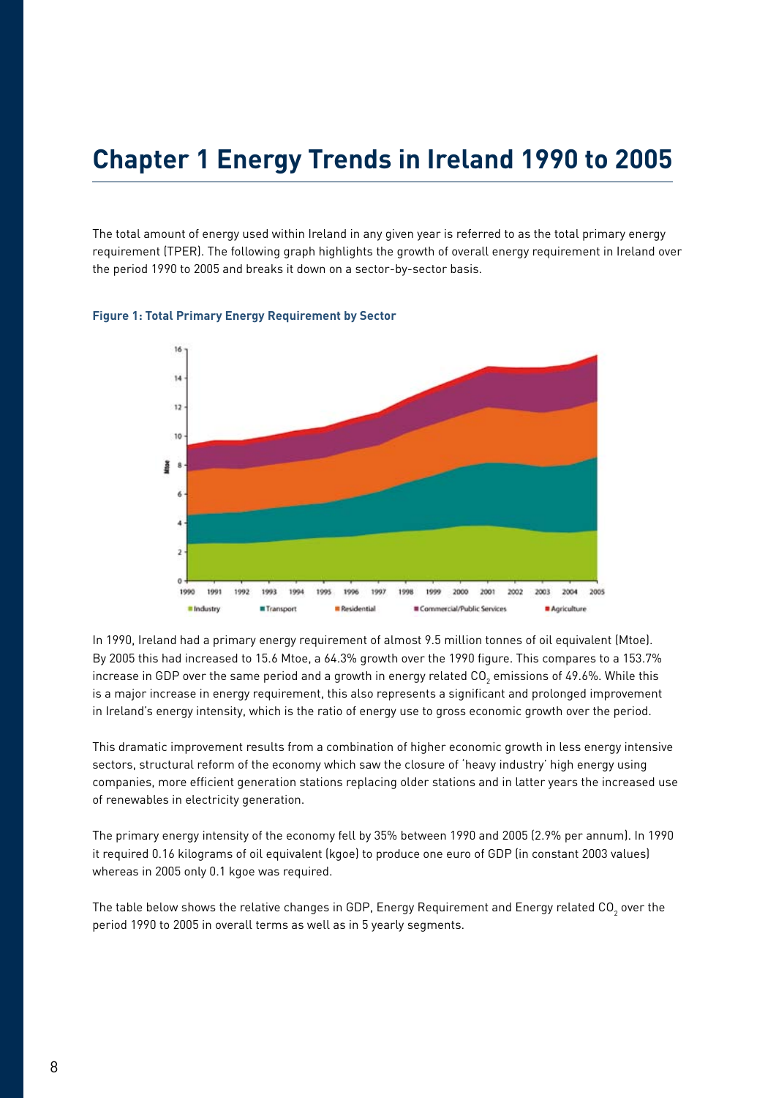# **Chapter 1 Energy Trends in Ireland 1990 to 2005**

The total amount of energy used within Ireland in any given year is referred to as the total primary energy requirement (TPER). The following graph highlights the growth of overall energy requirement in Ireland over the period 1990 to 2005 and breaks it down on a sector-by-sector basis.



#### **Figure 1: Total Primary Energy Requirement by Sector**

In 1990, Ireland had a primary energy requirement of almost 9.5 million tonnes of oil equivalent (Mtoe). By 2005 this had increased to 15.6 Mtoe, a 64.3% growth over the 1990 figure. This compares to a 153.7% increase in GDP over the same period and a growth in energy related CO<sub>2</sub> emissions of 49.6%. While this is a major increase in energy requirement, this also represents a significant and prolonged improvement in Ireland's energy intensity, which is the ratio of energy use to gross economic growth over the period.

This dramatic improvement results from a combination of higher economic growth in less energy intensive sectors, structural reform of the economy which saw the closure of 'heavy industry' high energy using companies, more efficient generation stations replacing older stations and in latter years the increased use of renewables in electricity generation.

The primary energy intensity of the economy fell by 35% between 1990 and 2005 (2.9% per annum). In 1990 it required 0.16 kilograms of oil equivalent (kgoe) to produce one euro of GDP (in constant 2003 values) whereas in 2005 only 0.1 kgoe was required.

The table below shows the relative changes in GDP, Energy Requirement and Energy related CO<sub>2</sub> over the period 1990 to 2005 in overall terms as well as in 5 yearly segments.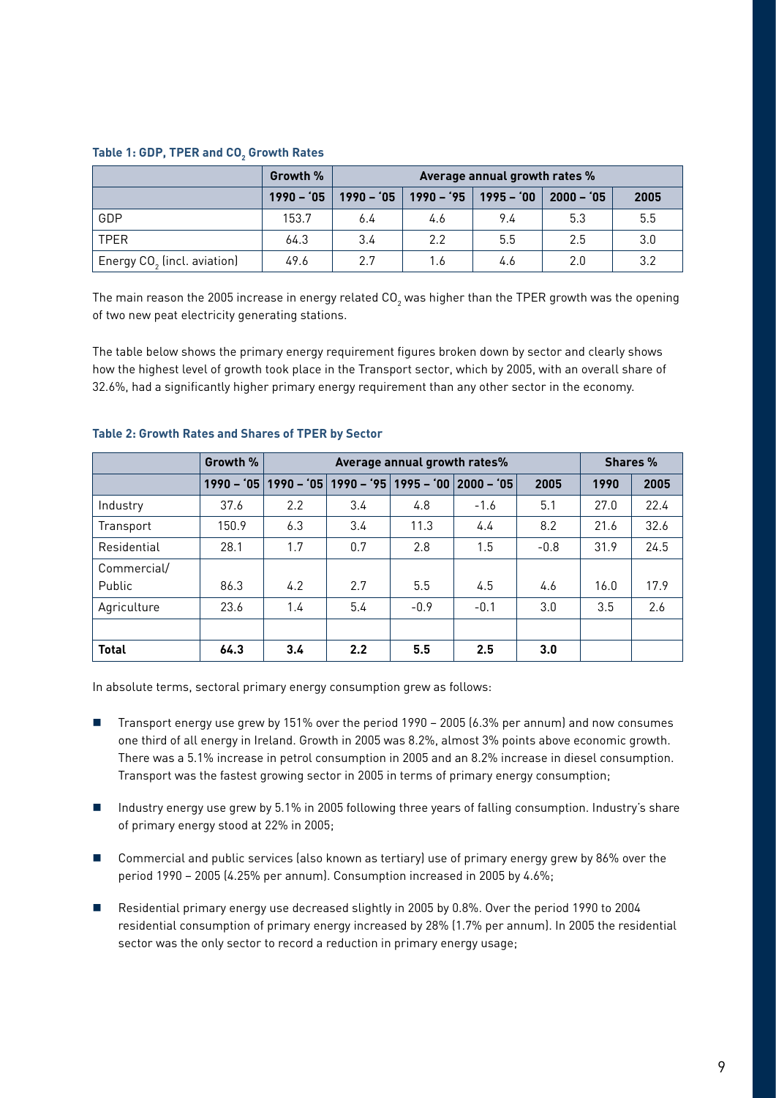### Table 1: GDP, TPER and CO<sub>2</sub> Growth Rates

|                                         | Growth %    | Average annual growth rates % |             |             |             |      |  |
|-----------------------------------------|-------------|-------------------------------|-------------|-------------|-------------|------|--|
|                                         | $1990 - 05$ | $1990 - 05$                   | $1990 - 95$ | $1995 - 00$ | $2000 - 05$ | 2005 |  |
| GDP                                     | 153.7       | 6.4                           | 4.6         | 9.4         | 5.3         | 5.5  |  |
| <b>TPER</b>                             | 64.3        | 3.4                           | 2.2         | 5.5         | 2.5         | 3.0  |  |
| Energy CO <sub>2</sub> (incl. aviation) | 49.6        | 2.7                           | 1.6         | 4.6         | 2.0         | 3.2  |  |

The main reason the 2005 increase in energy related  $CO<sub>2</sub>$  was higher than the TPER growth was the opening of two new peat electricity generating stations.

The table below shows the primary energy requirement figures broken down by sector and clearly shows how the highest level of growth took place in the Transport sector, which by 2005, with an overall share of 32.6%, had a significantly higher primary energy requirement than any other sector in the economy.

|              | Growth %    | Average annual growth rates% |                                   |        |             |        | <b>Shares %</b> |      |
|--------------|-------------|------------------------------|-----------------------------------|--------|-------------|--------|-----------------|------|
|              | $1990 - 05$ |                              | $1990 - 05$ 1990 - '95 1995 - '00 |        | $2000 - 05$ | 2005   | 1990            | 2005 |
| Industry     | 37.6        | 2.2                          | 3.4                               | 4.8    | $-1.6$      | 5.1    | 27.0            | 22.4 |
| Transport    | 150.9       | 6.3                          | 3.4                               | 11.3   | 4.4         | 8.2    | 21.6            | 32.6 |
| Residential  | 28.1        | 1.7                          | 0.7                               | 2.8    | 1.5         | $-0.8$ | 31.9            | 24.5 |
| Commercial/  |             |                              |                                   |        |             |        |                 |      |
| Public       | 86.3        | 4.2                          | 2.7                               | 5.5    | 4.5         | 4.6    | 16.0            | 17.9 |
| Agriculture  | 23.6        | 1.4                          | 5.4                               | $-0.9$ | $-0.1$      | 3.0    | 3.5             | 2.6  |
|              |             |                              |                                   |        |             |        |                 |      |
| <b>Total</b> | 64.3        | 3.4                          | 2.2                               | 5.5    | 2.5         | 3.0    |                 |      |

#### **Table 2: Growth Rates and Shares of TPER by Sector**

In absolute terms, sectoral primary energy consumption grew as follows:

- **n** Transport energy use grew by 151% over the period 1990 2005 (6.3% per annum) and now consumes one third of all energy in Ireland. Growth in 2005 was 8.2%, almost 3% points above economic growth. There was a 5.1% increase in petrol consumption in 2005 and an 8.2% increase in diesel consumption. Transport was the fastest growing sector in 2005 in terms of primary energy consumption;
- Industry energy use grew by 5.1% in 2005 following three years of falling consumption. Industry's share of primary energy stood at 22% in 2005;
- Commercial and public services (also known as tertiary) use of primary energy grew by 86% over the period 1990 – 2005 (4.25% per annum). Consumption increased in 2005 by 4.6%;
- Residential primary energy use decreased slightly in 2005 by 0.8%. Over the period 1990 to 2004 residential consumption of primary energy increased by 28% (1.7% per annum). In 2005 the residential sector was the only sector to record a reduction in primary energy usage;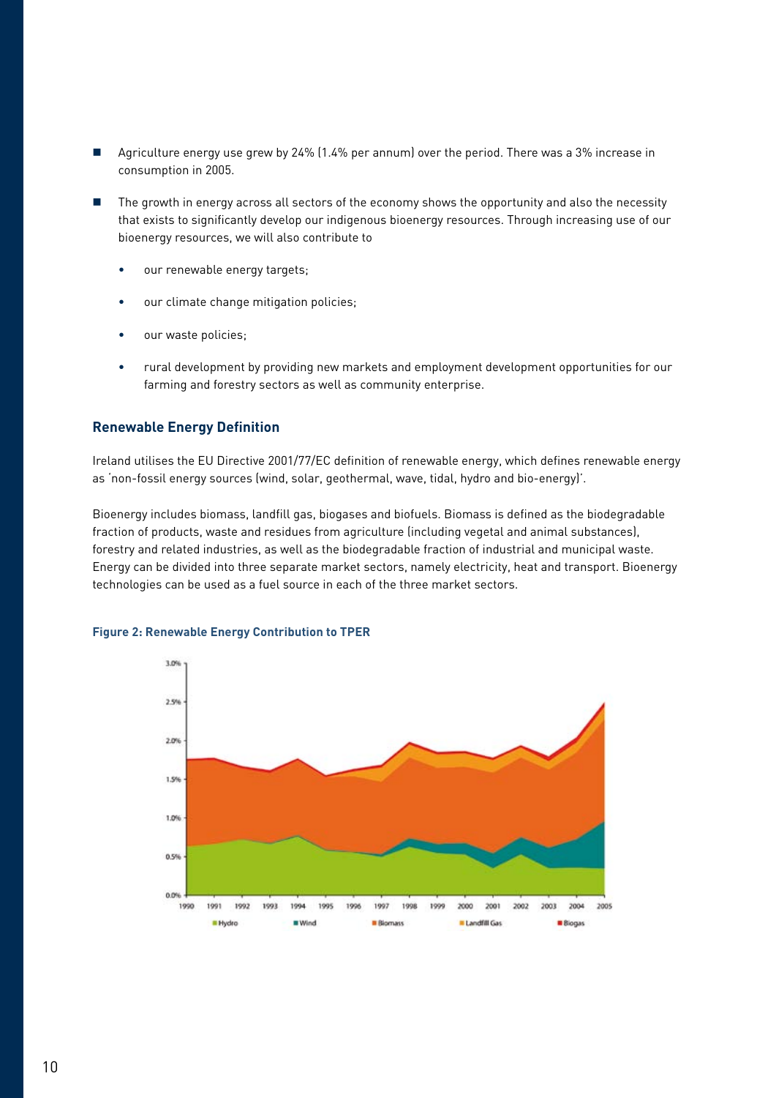- Agriculture energy use grew by 24% (1.4% per annum) over the period. There was a 3% increase in consumption in 2005.
- The growth in energy across all sectors of the economy shows the opportunity and also the necessity that exists to significantly develop our indigenous bioenergy resources. Through increasing use of our bioenergy resources, we will also contribute to
	- our renewable energy targets;
	- • our climate change mitigation policies;
	- • our waste policies;
	- • rural development by providing new markets and employment development opportunities for our farming and forestry sectors as well as community enterprise.

#### **Renewable Energy Definition**

Ireland utilises the EU Directive 2001/77/EC definition of renewable energy, which defines renewable energy as 'non-fossil energy sources (wind, solar, geothermal, wave, tidal, hydro and bio-energy)'.

Bioenergy includes biomass, landfill gas, biogases and biofuels. Biomass is defined as the biodegradable fraction of products, waste and residues from agriculture (including vegetal and animal substances), forestry and related industries, as well as the biodegradable fraction of industrial and municipal waste. Energy can be divided into three separate market sectors, namely electricity, heat and transport. Bioenergy technologies can be used as a fuel source in each of the three market sectors.



#### **Figure 2: Renewable Energy Contribution to TPER**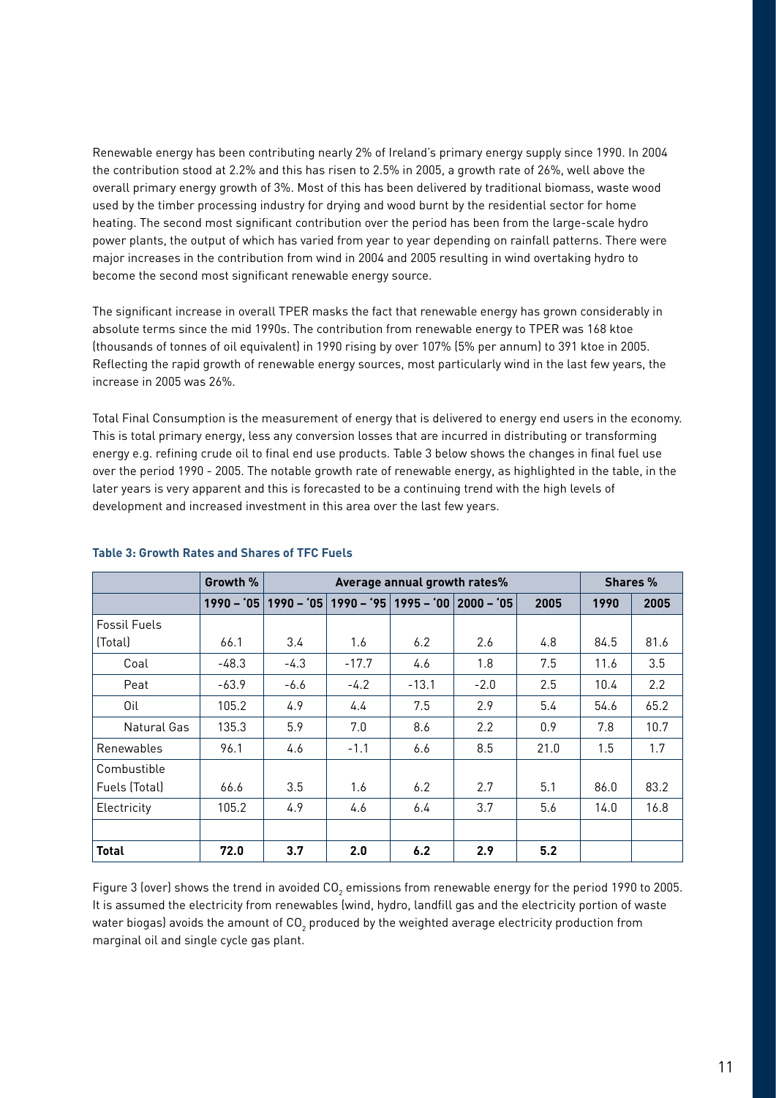Renewable energy has been contributing nearly 2% of Ireland's primary energy supply since 1990. In 2004 the contribution stood at 2.2% and this has risen to 2.5% in 2005, a growth rate of 26%, well above the overall primary energy growth of 3%. Most of this has been delivered by traditional biomass, waste wood used by the timber processing industry for drying and wood burnt by the residential sector for home heating. The second most significant contribution over the period has been from the large-scale hydro power plants, the output of which has varied from year to year depending on rainfall patterns. There were major increases in the contribution from wind in 2004 and 2005 resulting in wind overtaking hydro to become the second most significant renewable energy source.

The significant increase in overall TPER masks the fact that renewable energy has grown considerably in absolute terms since the mid 1990s. The contribution from renewable energy to TPER was 168 ktoe (thousands of tonnes of oil equivalent) in 1990 rising by over 107% (5% per annum) to 391 ktoe in 2005. Reflecting the rapid growth of renewable energy sources, most particularly wind in the last few years, the increase in 2005 was 26%.

Total Final Consumption is the measurement of energy that is delivered to energy end users in the economy. This is total primary energy, less any conversion losses that are incurred in distributing or transforming energy e.g. refining crude oil to final end use products. Table 3 below shows the changes in final fuel use over the period 1990 - 2005. The notable growth rate of renewable energy, as highlighted in the table, in the later years is very apparent and this is forecasted to be a continuing trend with the high levels of development and increased investment in this area over the last few years.

|               | Growth %    | Average annual growth rates% |             |             |             |      | <b>Shares %</b> |      |
|---------------|-------------|------------------------------|-------------|-------------|-------------|------|-----------------|------|
|               | $1990 - 05$ | $1990 - 05$                  | $1990 - 95$ | $1995 - 00$ | $2000 - 05$ | 2005 | 1990            | 2005 |
| Fossil Fuels  |             |                              |             |             |             |      |                 |      |
| (Total)       | 66.1        | 3.4                          | 1.6         | 6.2         | 2.6         | 4.8  | 84.5            | 81.6 |
| Coal          | $-48.3$     | $-4.3$                       | $-17.7$     | 4.6         | 1.8         | 7.5  | 11.6            | 3.5  |
| Peat          | $-63.9$     | -6.6                         | $-4.2$      | $-13.1$     | $-2.0$      | 2.5  | 10.4            | 2.2  |
| Oil           | 105.2       | 4.9                          | 4.4         | 7.5         | 2.9         | 5.4  | 54.6            | 65.2 |
| Natural Gas   | 135.3       | 5.9                          | 7.0         | 8.6         | 2.2         | 0.9  | 7.8             | 10.7 |
| Renewables    | 96.1        | 4.6                          | $-1.1$      | 6.6         | 8.5         | 21.0 | 1.5             | 1.7  |
| Combustible   |             |                              |             |             |             |      |                 |      |
| Fuels (Total) | 66.6        | 3.5                          | 1.6         | 6.2         | 2.7         | 5.1  | 86.0            | 83.2 |
| Electricity   | 105.2       | 4.9                          | 4.6         | 6.4         | 3.7         | 5.6  | 14.0            | 16.8 |
|               |             |                              |             |             |             |      |                 |      |
| Total         | 72.0        | 3.7                          | 2.0         | 6.2         | 2.9         | 5.2  |                 |      |

#### **Table 3: Growth Rates and Shares of TFC Fuels**

Figure 3 (over) shows the trend in avoided CO<sub>2</sub> emissions from renewable energy for the period 1990 to 2005. It is assumed the electricity from renewables (wind, hydro, landfill gas and the electricity portion of waste water biogas) avoids the amount of CO<sub>2</sub> produced by the weighted average electricity production from marginal oil and single cycle gas plant.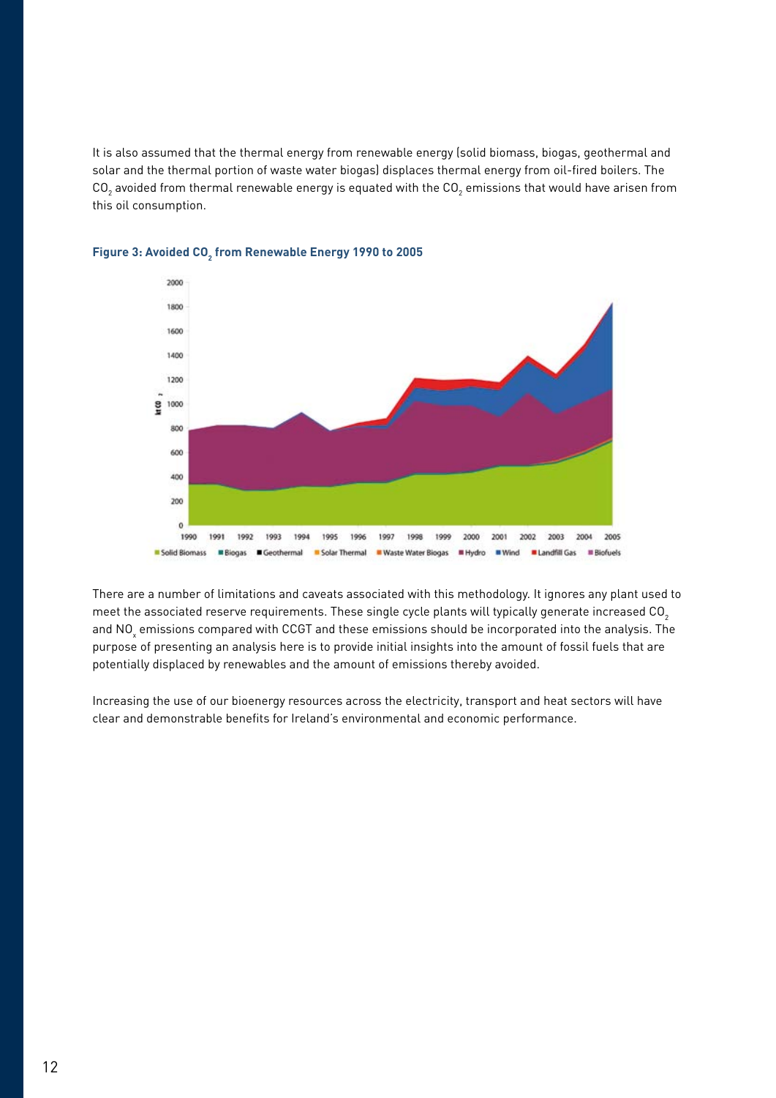It is also assumed that the thermal energy from renewable energy (solid biomass, biogas, geothermal and solar and the thermal portion of waste water biogas) displaces thermal energy from oil-fired boilers. The  $CO<sub>2</sub>$  avoided from thermal renewable energy is equated with the  $CO<sub>2</sub>$  emissions that would have arisen from this oil consumption.



#### **Figure 3: Avoided CO<sub>2</sub> from Renewable Energy 1990 to 2005**

There are a number of limitations and caveats associated with this methodology. It ignores any plant used to meet the associated reserve requirements. These single cycle plants will typically generate increased CO<sub>2</sub> and NO<sub>v</sub> emissions compared with CCGT and these emissions should be incorporated into the analysis. The purpose of presenting an analysis here is to provide initial insights into the amount of fossil fuels that are potentially displaced by renewables and the amount of emissions thereby avoided.

Increasing the use of our bioenergy resources across the electricity, transport and heat sectors will have clear and demonstrable benefits for Ireland's environmental and economic performance.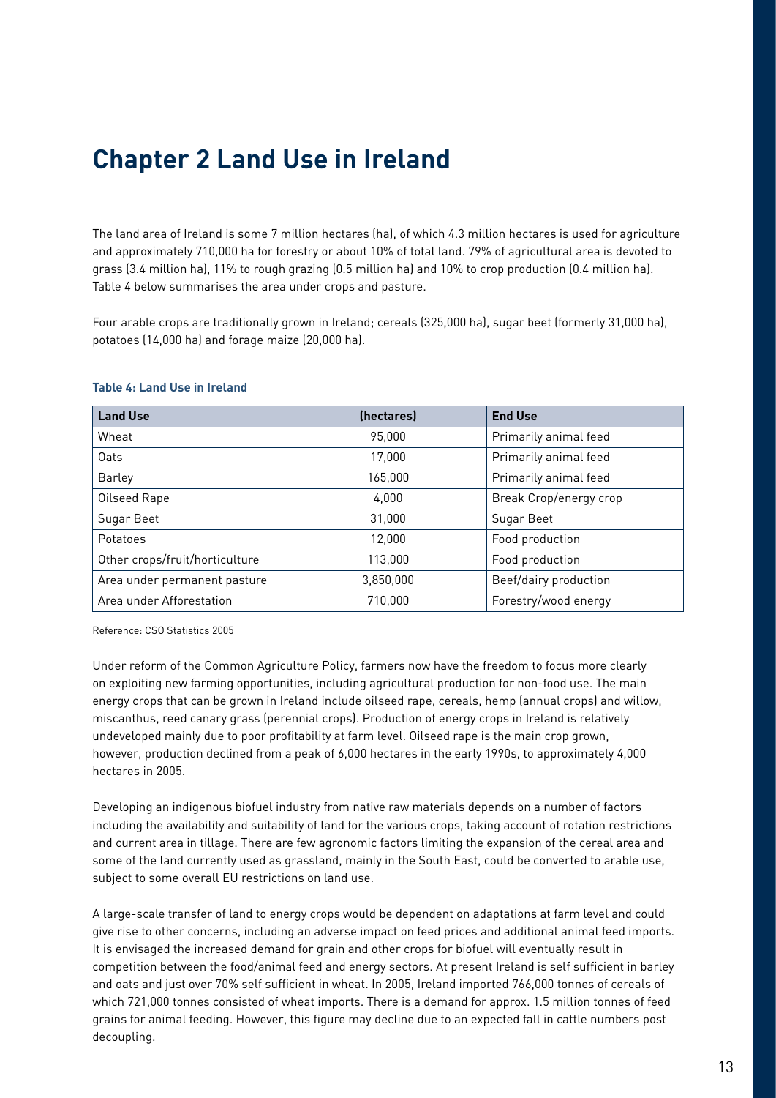# **Chapter 2 Land Use in Ireland**

The land area of Ireland is some 7 million hectares (ha), of which 4.3 million hectares is used for agriculture and approximately 710,000 ha for forestry or about 10% of total land. 79% of agricultural area is devoted to grass (3.4 million ha), 11% to rough grazing (0.5 million ha) and 10% to crop production (0.4 million ha). Table 4 below summarises the area under crops and pasture.

Four arable crops are traditionally grown in Ireland; cereals (325,000 ha), sugar beet (formerly 31,000 ha), potatoes (14,000 ha) and forage maize (20,000 ha).

| <b>Land Use</b>                | (hectares) | <b>End Use</b>         |
|--------------------------------|------------|------------------------|
| Wheat                          | 95,000     | Primarily animal feed  |
| Oats                           | 17,000     | Primarily animal feed  |
| Barley                         | 165,000    | Primarily animal feed  |
| Oilseed Rape                   | 4,000      | Break Crop/energy crop |
| Sugar Beet                     | 31,000     | Sugar Beet             |
| Potatoes                       | 12,000     | Food production        |
| Other crops/fruit/horticulture | 113,000    | Food production        |
| Area under permanent pasture   | 3,850,000  | Beef/dairy production  |
| Area under Afforestation       | 710,000    | Forestry/wood energy   |

#### **Table 4: Land Use in Ireland**

Reference: CSO Statistics 2005

Under reform of the Common Agriculture Policy, farmers now have the freedom to focus more clearly on exploiting new farming opportunities, including agricultural production for non-food use. The main energy crops that can be grown in Ireland include oilseed rape, cereals, hemp (annual crops) and willow, miscanthus, reed canary grass (perennial crops). Production of energy crops in Ireland is relatively undeveloped mainly due to poor profitability at farm level. Oilseed rape is the main crop grown, however, production declined from a peak of 6,000 hectares in the early 1990s, to approximately 4,000 hectares in 2005.

Developing an indigenous biofuel industry from native raw materials depends on a number of factors including the availability and suitability of land for the various crops, taking account of rotation restrictions and current area in tillage. There are few agronomic factors limiting the expansion of the cereal area and some of the land currently used as grassland, mainly in the South East, could be converted to arable use, subject to some overall EU restrictions on land use.

A large-scale transfer of land to energy crops would be dependent on adaptations at farm level and could give rise to other concerns, including an adverse impact on feed prices and additional animal feed imports. It is envisaged the increased demand for grain and other crops for biofuel will eventually result in competition between the food/animal feed and energy sectors. At present Ireland is self sufficient in barley and oats and just over 70% self sufficient in wheat. In 2005, Ireland imported 766,000 tonnes of cereals of which 721,000 tonnes consisted of wheat imports. There is a demand for approx. 1.5 million tonnes of feed grains for animal feeding. However, this figure may decline due to an expected fall in cattle numbers post decoupling.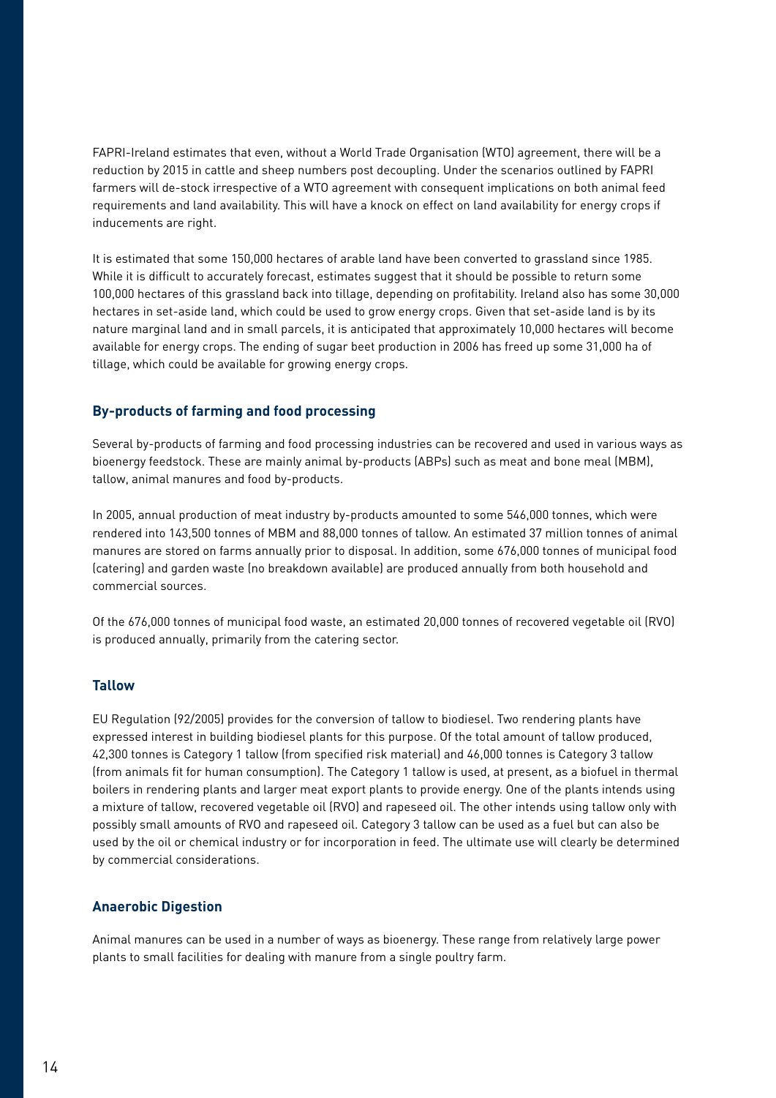FAPRI-Ireland estimates that even, without a World Trade Organisation (WTO) agreement, there will be a reduction by 2015 in cattle and sheep numbers post decoupling. Under the scenarios outlined by FAPRI farmers will de-stock irrespective of a WTO agreement with consequent implications on both animal feed requirements and land availability. This will have a knock on effect on land availability for energy crops if inducements are right.

It is estimated that some 150,000 hectares of arable land have been converted to grassland since 1985. While it is difficult to accurately forecast, estimates suggest that it should be possible to return some 100,000 hectares of this grassland back into tillage, depending on profitability. Ireland also has some 30,000 hectares in set-aside land, which could be used to grow energy crops. Given that set-aside land is by its nature marginal land and in small parcels, it is anticipated that approximately 10,000 hectares will become available for energy crops. The ending of sugar beet production in 2006 has freed up some 31,000 ha of tillage, which could be available for growing energy crops.

#### **By-products of farming and food processing**

Several by-products of farming and food processing industries can be recovered and used in various ways as bioenergy feedstock. These are mainly animal by-products (ABPs) such as meat and bone meal (MBM), tallow, animal manures and food by-products.

In 2005, annual production of meat industry by-products amounted to some 546,000 tonnes, which were rendered into 143,500 tonnes of MBM and 88,000 tonnes of tallow. An estimated 37 million tonnes of animal manures are stored on farms annually prior to disposal. In addition, some 676,000 tonnes of municipal food (catering) and garden waste (no breakdown available) are produced annually from both household and commercial sources.

Of the 676,000 tonnes of municipal food waste, an estimated 20,000 tonnes of recovered vegetable oil (RVO) is produced annually, primarily from the catering sector.

#### **Tallow**

EU Regulation (92/2005) provides for the conversion of tallow to biodiesel. Two rendering plants have expressed interest in building biodiesel plants for this purpose. Of the total amount of tallow produced, 42,300 tonnes is Category 1 tallow (from specified risk material) and 46,000 tonnes is Category 3 tallow (from animals fit for human consumption). The Category 1 tallow is used, at present, as a biofuel in thermal boilers in rendering plants and larger meat export plants to provide energy. One of the plants intends using a mixture of tallow, recovered vegetable oil (RVO) and rapeseed oil. The other intends using tallow only with possibly small amounts of RVO and rapeseed oil. Category 3 tallow can be used as a fuel but can also be used by the oil or chemical industry or for incorporation in feed. The ultimate use will clearly be determined by commercial considerations.

#### **Anaerobic Digestion**

Animal manures can be used in a number of ways as bioenergy. These range from relatively large power plants to small facilities for dealing with manure from a single poultry farm.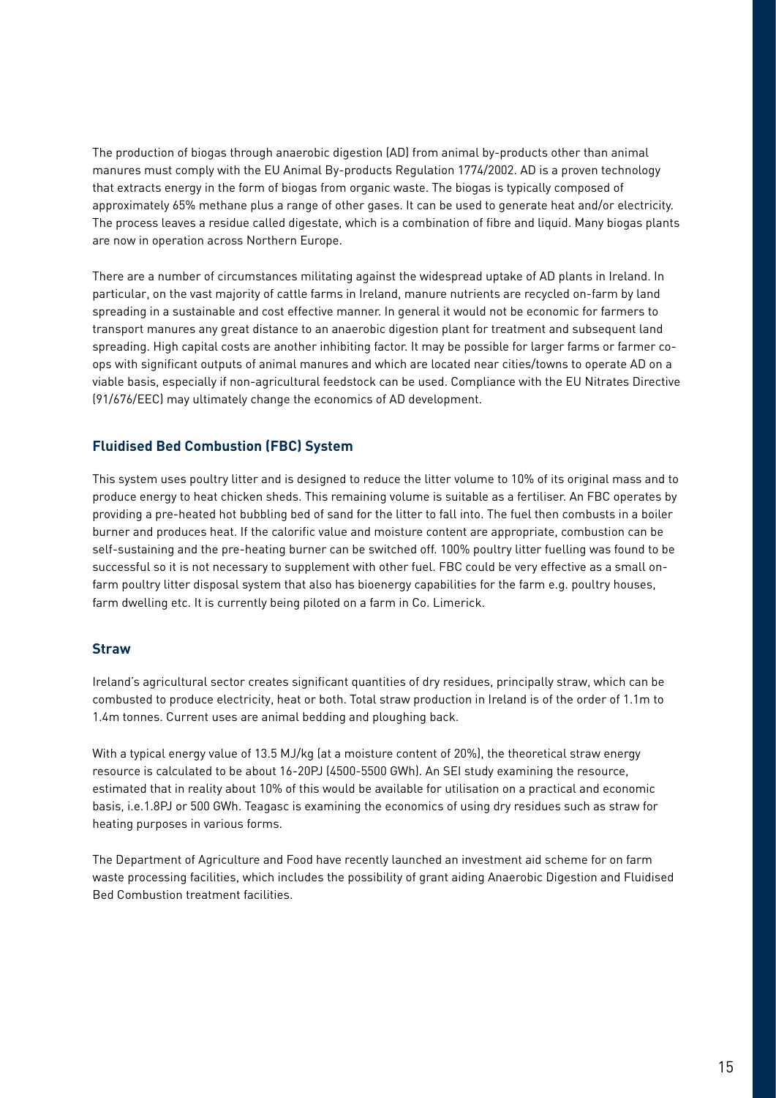The production of biogas through anaerobic digestion (AD) from animal by-products other than animal manures must comply with the EU Animal By-products Regulation 1774/2002. AD is a proven technology that extracts energy in the form of biogas from organic waste. The biogas is typically composed of approximately 65% methane plus a range of other gases. It can be used to generate heat and/or electricity. The process leaves a residue called digestate, which is a combination of fibre and liquid. Many biogas plants are now in operation across Northern Europe.

There are a number of circumstances militating against the widespread uptake of AD plants in Ireland. In particular, on the vast majority of cattle farms in Ireland, manure nutrients are recycled on-farm by land spreading in a sustainable and cost effective manner. In general it would not be economic for farmers to transport manures any great distance to an anaerobic digestion plant for treatment and subsequent land spreading. High capital costs are another inhibiting factor. It may be possible for larger farms or farmer coops with significant outputs of animal manures and which are located near cities/towns to operate AD on a viable basis, especially if non-agricultural feedstock can be used. Compliance with the EU Nitrates Directive (91/676/EEC) may ultimately change the economics of AD development.

#### **Fluidised Bed Combustion (FBC) System**

This system uses poultry litter and is designed to reduce the litter volume to 10% of its original mass and to produce energy to heat chicken sheds. This remaining volume is suitable as a fertiliser. An FBC operates by providing a pre-heated hot bubbling bed of sand for the litter to fall into. The fuel then combusts in a boiler burner and produces heat. If the calorific value and moisture content are appropriate, combustion can be self-sustaining and the pre-heating burner can be switched off. 100% poultry litter fuelling was found to be successful so it is not necessary to supplement with other fuel. FBC could be very effective as a small onfarm poultry litter disposal system that also has bioenergy capabilities for the farm e.g. poultry houses, farm dwelling etc. It is currently being piloted on a farm in Co. Limerick.

#### **Straw**

Ireland's agricultural sector creates significant quantities of dry residues, principally straw, which can be combusted to produce electricity, heat or both. Total straw production in Ireland is of the order of 1.1m to 1.4m tonnes. Current uses are animal bedding and ploughing back.

With a typical energy value of 13.5 MJ/kg (at a moisture content of 20%), the theoretical straw energy resource is calculated to be about 16-20PJ (4500-5500 GWh). An SEI study examining the resource, estimated that in reality about 10% of this would be available for utilisation on a practical and economic basis, i.e.1.8PJ or 500 GWh. Teagasc is examining the economics of using dry residues such as straw for heating purposes in various forms.

The Department of Agriculture and Food have recently launched an investment aid scheme for on farm waste processing facilities, which includes the possibility of grant aiding Anaerobic Digestion and Fluidised Bed Combustion treatment facilities.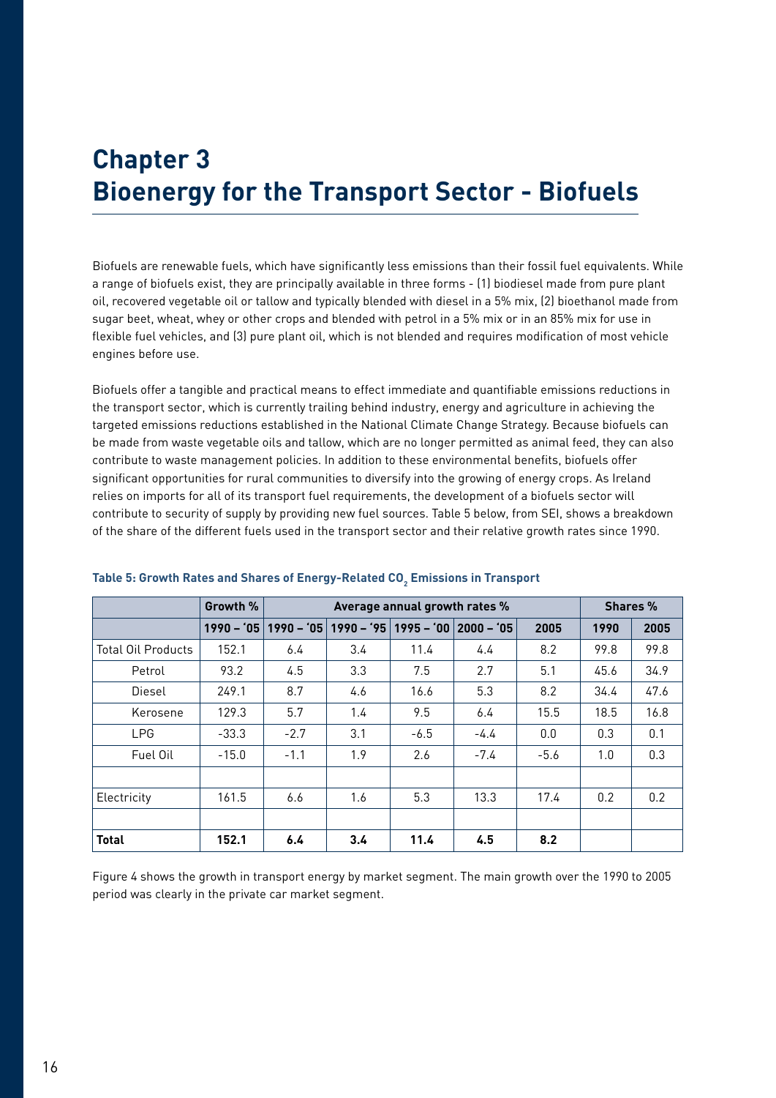# **Chapter 3 Bioenergy for the Transport Sector - Biofuels**

Biofuels are renewable fuels, which have significantly less emissions than their fossil fuel equivalents. While a range of biofuels exist, they are principally available in three forms - (1) biodiesel made from pure plant oil, recovered vegetable oil or tallow and typically blended with diesel in a 5% mix, (2) bioethanol made from sugar beet, wheat, whey or other crops and blended with petrol in a 5% mix or in an 85% mix for use in flexible fuel vehicles, and (3) pure plant oil, which is not blended and requires modification of most vehicle engines before use.

Biofuels offer a tangible and practical means to effect immediate and quantifiable emissions reductions in the transport sector, which is currently trailing behind industry, energy and agriculture in achieving the targeted emissions reductions established in the National Climate Change Strategy. Because biofuels can be made from waste vegetable oils and tallow, which are no longer permitted as animal feed, they can also contribute to waste management policies. In addition to these environmental benefits, biofuels offer significant opportunities for rural communities to diversify into the growing of energy crops. As Ireland relies on imports for all of its transport fuel requirements, the development of a biofuels sector will contribute to security of supply by providing new fuel sources. Table 5 below, from SEI, shows a breakdown of the share of the different fuels used in the transport sector and their relative growth rates since 1990.

|                           | Growth %    | Average annual growth rates % |             |        |                        | <b>Shares %</b> |      |      |
|---------------------------|-------------|-------------------------------|-------------|--------|------------------------|-----------------|------|------|
|                           | $1990 - 05$ | $1990 - 05$                   | $1990 - 95$ |        | $1995 - 00$ 2000 - 105 | 2005            | 1990 | 2005 |
| <b>Total Oil Products</b> | 152.1       | 6.4                           | 3.4         | 11.4   | 4.4                    | 8.2             | 99.8 | 99.8 |
| Petrol                    | 93.2        | 4.5                           | 3.3         | 7.5    | 2.7                    | 5.1             | 45.6 | 34.9 |
| Diesel                    | 249.1       | 8.7                           | 4.6         | 16.6   | 5.3                    | 8.2             | 34.4 | 47.6 |
| Kerosene                  | 129.3       | 5.7                           | 1.4         | 9.5    | 6.4                    | 15.5            | 18.5 | 16.8 |
| <b>LPG</b>                | $-33.3$     | $-2.7$                        | 3.1         | $-6.5$ | $-4.4$                 | 0.0             | 0.3  | 0.1  |
| Fuel Oil                  | $-15.0$     | $-1.1$                        | 1.9         | 2.6    | $-7.4$                 | $-5.6$          | 1.0  | 0.3  |
|                           |             |                               |             |        |                        |                 |      |      |
| Electricity               | 161.5       | 6.6                           | 1.6         | 5.3    | 13.3                   | 17.4            | 0.2  | 0.2  |
|                           |             |                               |             |        |                        |                 |      |      |
| <b>Total</b>              | 152.1       | 6.4                           | 3.4         | 11.4   | 4.5                    | 8.2             |      |      |

### Table 5: Growth Rates and Shares of Energy-Related CO<sub>2</sub> Emissions in Transport

Figure 4 shows the growth in transport energy by market segment. The main growth over the 1990 to 2005 period was clearly in the private car market segment.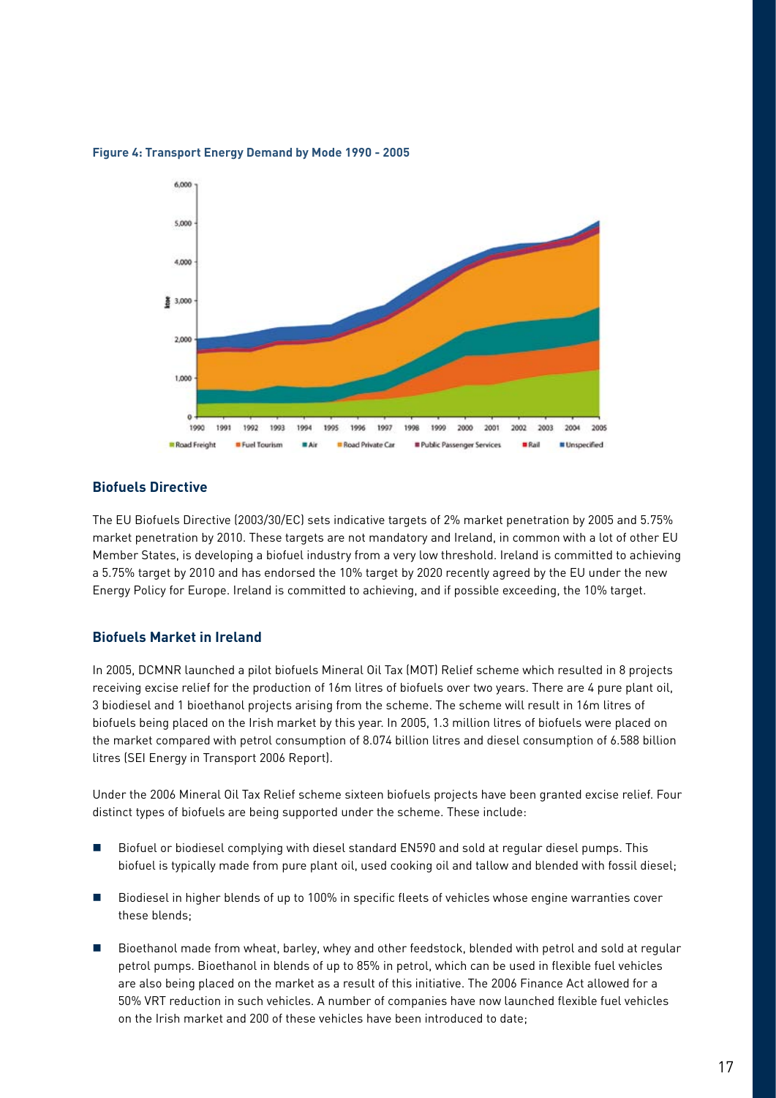

#### **Figure 4: Transport Energy Demand by Mode 1990 - 2005**

#### **Biofuels Directive**

The EU Biofuels Directive (2003/30/EC) sets indicative targets of 2% market penetration by 2005 and 5.75% market penetration by 2010. These targets are not mandatory and Ireland, in common with a lot of other EU Member States, is developing a biofuel industry from a very low threshold. Ireland is committed to achieving a 5.75% target by 2010 and has endorsed the 10% target by 2020 recently agreed by the EU under the new Energy Policy for Europe. Ireland is committed to achieving, and if possible exceeding, the 10% target.

#### **Biofuels Market in Ireland**

In 2005, DCMNR launched a pilot biofuels Mineral Oil Tax (MOT) Relief scheme which resulted in 8 projects receiving excise relief for the production of 16m litres of biofuels over two years. There are 4 pure plant oil, 3 biodiesel and 1 bioethanol projects arising from the scheme. The scheme will result in 16m litres of biofuels being placed on the Irish market by this year. In 2005, 1.3 million litres of biofuels were placed on the market compared with petrol consumption of 8.074 billion litres and diesel consumption of 6.588 billion litres (SEI Energy in Transport 2006 Report).

Under the 2006 Mineral Oil Tax Relief scheme sixteen biofuels projects have been granted excise relief. Four distinct types of biofuels are being supported under the scheme. These include:

- Biofuel or biodiesel complying with diesel standard EN590 and sold at regular diesel pumps. This biofuel is typically made from pure plant oil, used cooking oil and tallow and blended with fossil diesel;
- n Biodiesel in higher blends of up to 100% in specific fleets of vehicles whose engine warranties cover these blends;
- Bioethanol made from wheat, barley, whey and other feedstock, blended with petrol and sold at regular petrol pumps. Bioethanol in blends of up to 85% in petrol, which can be used in flexible fuel vehicles are also being placed on the market as a result of this initiative. The 2006 Finance Act allowed for a 50% VRT reduction in such vehicles. A number of companies have now launched flexible fuel vehicles on the Irish market and 200 of these vehicles have been introduced to date;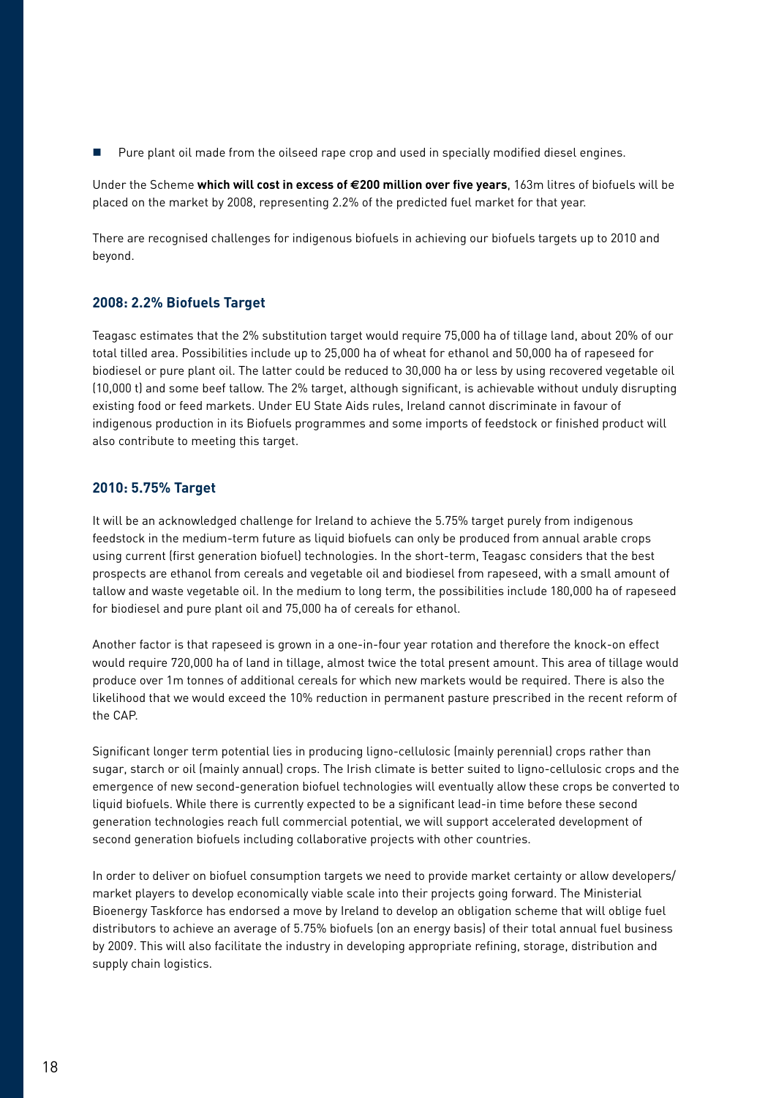■ Pure plant oil made from the oilseed rape crop and used in specially modified diesel engines.

Under the Scheme **which will cost in excess of €200 million over five years**, 163m litres of biofuels will be placed on the market by 2008, representing 2.2% of the predicted fuel market for that year.

There are recognised challenges for indigenous biofuels in achieving our biofuels targets up to 2010 and beyond.

#### **2008: 2.2% Biofuels Target**

Teagasc estimates that the 2% substitution target would require 75,000 ha of tillage land, about 20% of our total tilled area. Possibilities include up to 25,000 ha of wheat for ethanol and 50,000 ha of rapeseed for biodiesel or pure plant oil. The latter could be reduced to 30,000 ha or less by using recovered vegetable oil (10,000 t) and some beef tallow. The 2% target, although significant, is achievable without unduly disrupting existing food or feed markets. Under EU State Aids rules, Ireland cannot discriminate in favour of indigenous production in its Biofuels programmes and some imports of feedstock or finished product will also contribute to meeting this target.

#### **2010: 5.75% Target**

It will be an acknowledged challenge for Ireland to achieve the 5.75% target purely from indigenous feedstock in the medium-term future as liquid biofuels can only be produced from annual arable crops using current (first generation biofuel) technologies. In the short-term, Teagasc considers that the best prospects are ethanol from cereals and vegetable oil and biodiesel from rapeseed, with a small amount of tallow and waste vegetable oil. In the medium to long term, the possibilities include 180,000 ha of rapeseed for biodiesel and pure plant oil and 75,000 ha of cereals for ethanol.

Another factor is that rapeseed is grown in a one-in-four year rotation and therefore the knock-on effect would require 720,000 ha of land in tillage, almost twice the total present amount. This area of tillage would produce over 1m tonnes of additional cereals for which new markets would be required. There is also the likelihood that we would exceed the 10% reduction in permanent pasture prescribed in the recent reform of the CAP.

Significant longer term potential lies in producing ligno-cellulosic (mainly perennial) crops rather than sugar, starch or oil (mainly annual) crops. The Irish climate is better suited to ligno-cellulosic crops and the emergence of new second-generation biofuel technologies will eventually allow these crops be converted to liquid biofuels. While there is currently expected to be a significant lead-in time before these second generation technologies reach full commercial potential, we will support accelerated development of second generation biofuels including collaborative projects with other countries.

In order to deliver on biofuel consumption targets we need to provide market certainty or allow developers/ market players to develop economically viable scale into their projects going forward. The Ministerial Bioenergy Taskforce has endorsed a move by Ireland to develop an obligation scheme that will oblige fuel distributors to achieve an average of 5.75% biofuels (on an energy basis) of their total annual fuel business by 2009. This will also facilitate the industry in developing appropriate refining, storage, distribution and supply chain logistics.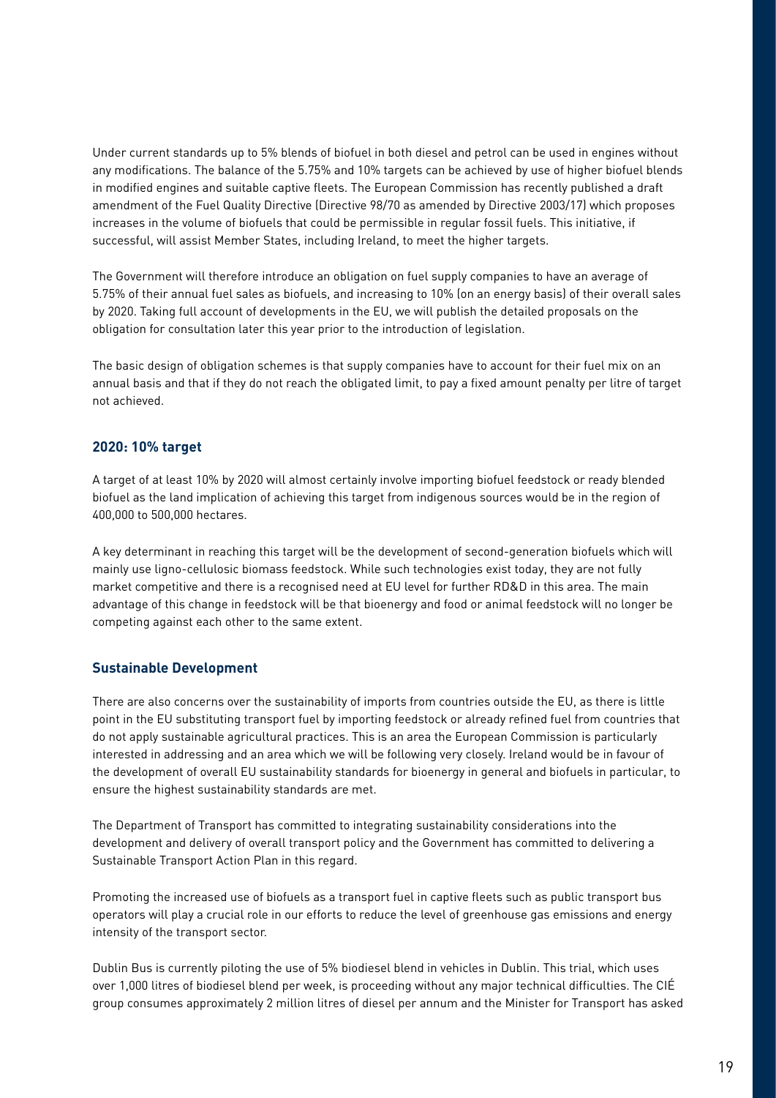Under current standards up to 5% blends of biofuel in both diesel and petrol can be used in engines without any modifications. The balance of the 5.75% and 10% targets can be achieved by use of higher biofuel blends in modified engines and suitable captive fleets. The European Commission has recently published a draft amendment of the Fuel Quality Directive (Directive 98/70 as amended by Directive 2003/17) which proposes increases in the volume of biofuels that could be permissible in regular fossil fuels. This initiative, if successful, will assist Member States, including Ireland, to meet the higher targets.

The Government will therefore introduce an obligation on fuel supply companies to have an average of 5.75% of their annual fuel sales as biofuels, and increasing to 10% (on an energy basis) of their overall sales by 2020. Taking full account of developments in the EU, we will publish the detailed proposals on the obligation for consultation later this year prior to the introduction of legislation.

The basic design of obligation schemes is that supply companies have to account for their fuel mix on an annual basis and that if they do not reach the obligated limit, to pay a fixed amount penalty per litre of target not achieved.

#### **2020: 10% target**

A target of at least 10% by 2020 will almost certainly involve importing biofuel feedstock or ready blended biofuel as the land implication of achieving this target from indigenous sources would be in the region of 400,000 to 500,000 hectares.

A key determinant in reaching this target will be the development of second-generation biofuels which will mainly use ligno-cellulosic biomass feedstock. While such technologies exist today, they are not fully market competitive and there is a recognised need at EU level for further RD&D in this area. The main advantage of this change in feedstock will be that bioenergy and food or animal feedstock will no longer be competing against each other to the same extent.

#### **Sustainable Development**

There are also concerns over the sustainability of imports from countries outside the EU, as there is little point in the EU substituting transport fuel by importing feedstock or already refined fuel from countries that do not apply sustainable agricultural practices. This is an area the European Commission is particularly interested in addressing and an area which we will be following very closely. Ireland would be in favour of the development of overall EU sustainability standards for bioenergy in general and biofuels in particular, to ensure the highest sustainability standards are met.

The Department of Transport has committed to integrating sustainability considerations into the development and delivery of overall transport policy and the Government has committed to delivering a Sustainable Transport Action Plan in this regard.

Promoting the increased use of biofuels as a transport fuel in captive fleets such as public transport bus operators will play a crucial role in our efforts to reduce the level of greenhouse gas emissions and energy intensity of the transport sector.

Dublin Bus is currently piloting the use of 5% biodiesel blend in vehicles in Dublin. This trial, which uses over 1,000 litres of biodiesel blend per week, is proceeding without any major technical difficulties. The CIÉ group consumes approximately 2 million litres of diesel per annum and the Minister for Transport has asked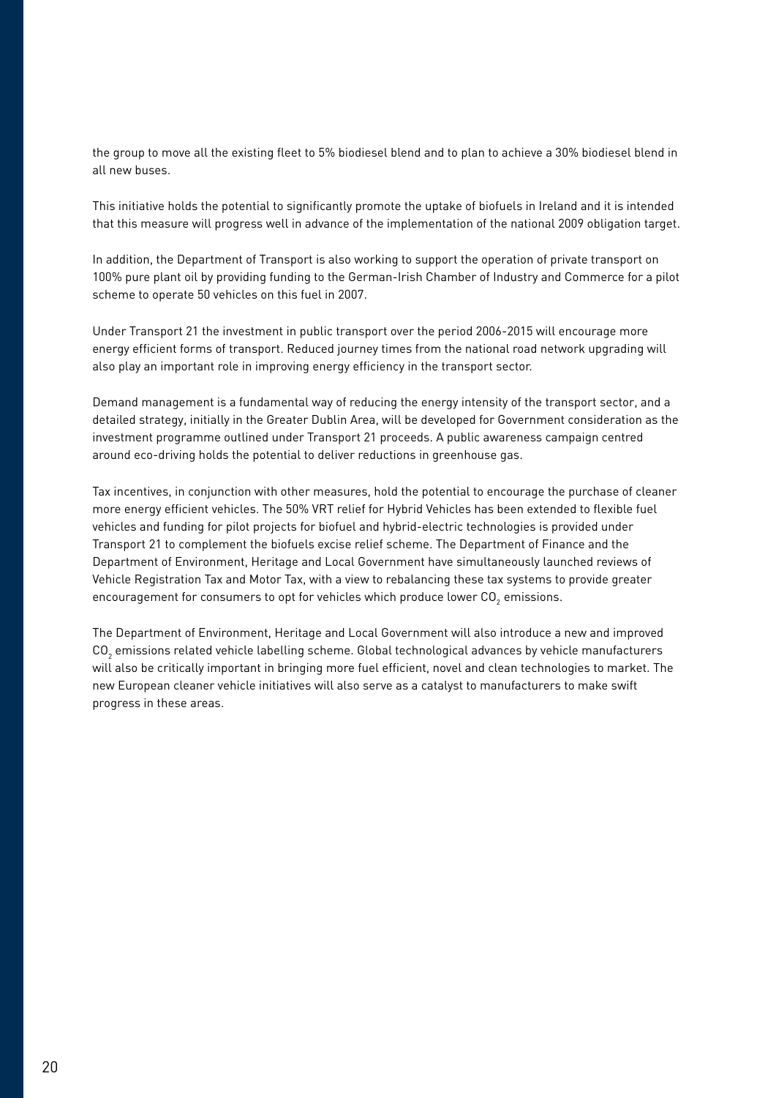the group to move all the existing fleet to 5% biodiesel blend and to plan to achieve a 30% biodiesel blend in all new buses.

This initiative holds the potential to significantly promote the uptake of biofuels in Ireland and it is intended that this measure will progress well in advance of the implementation of the national 2009 obligation target.

In addition, the Department of Transport is also working to support the operation of private transport on 100% pure plant oil by providing funding to the German-Irish Chamber of Industry and Commerce for a pilot scheme to operate 50 vehicles on this fuel in 2007.

Under Transport 21 the investment in public transport over the period 2006-2015 will encourage more energy efficient forms of transport. Reduced journey times from the national road network upgrading will also play an important role in improving energy efficiency in the transport sector.

Demand management is a fundamental way of reducing the energy intensity of the transport sector, and a detailed strategy, initially in the Greater Dublin Area, will be developed for Government consideration as the investment programme outlined under Transport 21 proceeds. A public awareness campaign centred around eco-driving holds the potential to deliver reductions in greenhouse gas.

Tax incentives, in conjunction with other measures, hold the potential to encourage the purchase of cleaner more energy efficient vehicles. The 50% VRT relief for Hybrid Vehicles has been extended to flexible fuel vehicles and funding for pilot projects for biofuel and hybrid-electric technologies is provided under Transport 21 to complement the biofuels excise relief scheme. The Department of Finance and the Department of Environment, Heritage and Local Government have simultaneously launched reviews of Vehicle Registration Tax and Motor Tax, with a view to rebalancing these tax systems to provide greater encouragement for consumers to opt for vehicles which produce lower CO $_{\rm 2}$  emissions.

The Department of Environment, Heritage and Local Government will also introduce a new and improved CO2 emissions related vehicle labelling scheme. Global technological advances by vehicle manufacturers will also be critically important in bringing more fuel efficient, novel and clean technologies to market. The new European cleaner vehicle initiatives will also serve as a catalyst to manufacturers to make swift progress in these areas.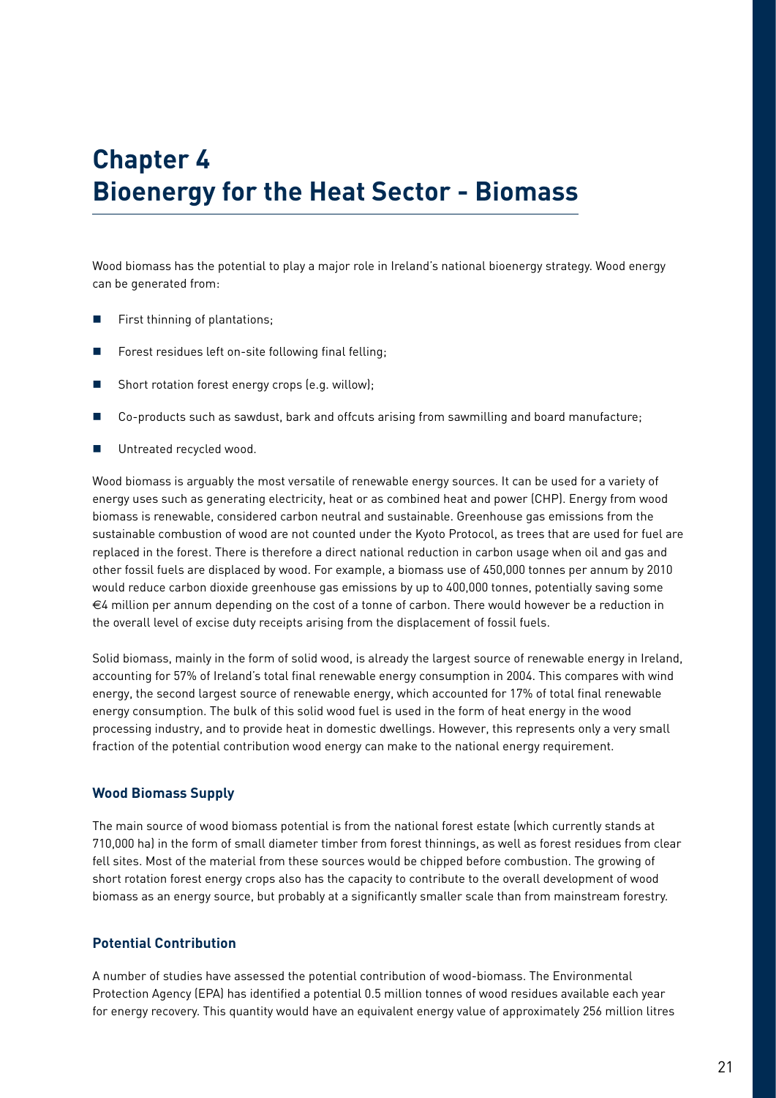# **Chapter 4 Bioenergy for the Heat Sector - Biomass**

Wood biomass has the potential to play a major role in Ireland's national bioenergy strategy. Wood energy can be generated from:

- First thinning of plantations;
- Forest residues left on-site following final felling;
- Short rotation forest energy crops (e.g. willow);
- Co-products such as sawdust, bark and offcuts arising from sawmilling and board manufacture;
- Untreated recycled wood.

Wood biomass is arguably the most versatile of renewable energy sources. It can be used for a variety of energy uses such as generating electricity, heat or as combined heat and power (CHP). Energy from wood biomass is renewable, considered carbon neutral and sustainable. Greenhouse gas emissions from the sustainable combustion of wood are not counted under the Kyoto Protocol, as trees that are used for fuel are replaced in the forest. There is therefore a direct national reduction in carbon usage when oil and gas and other fossil fuels are displaced by wood. For example, a biomass use of 450,000 tonnes per annum by 2010 would reduce carbon dioxide greenhouse gas emissions by up to 400,000 tonnes, potentially saving some €4 million per annum depending on the cost of a tonne of carbon. There would however be a reduction in the overall level of excise duty receipts arising from the displacement of fossil fuels.

Solid biomass, mainly in the form of solid wood, is already the largest source of renewable energy in Ireland, accounting for 57% of Ireland's total final renewable energy consumption in 2004. This compares with wind energy, the second largest source of renewable energy, which accounted for 17% of total final renewable energy consumption. The bulk of this solid wood fuel is used in the form of heat energy in the wood processing industry, and to provide heat in domestic dwellings. However, this represents only a very small fraction of the potential contribution wood energy can make to the national energy requirement.

#### **Wood Biomass Supply**

The main source of wood biomass potential is from the national forest estate (which currently stands at 710,000 ha) in the form of small diameter timber from forest thinnings, as well as forest residues from clear fell sites. Most of the material from these sources would be chipped before combustion. The growing of short rotation forest energy crops also has the capacity to contribute to the overall development of wood biomass as an energy source, but probably at a significantly smaller scale than from mainstream forestry.

#### **Potential Contribution**

A number of studies have assessed the potential contribution of wood-biomass. The Environmental Protection Agency (EPA) has identified a potential 0.5 million tonnes of wood residues available each year for energy recovery. This quantity would have an equivalent energy value of approximately 256 million litres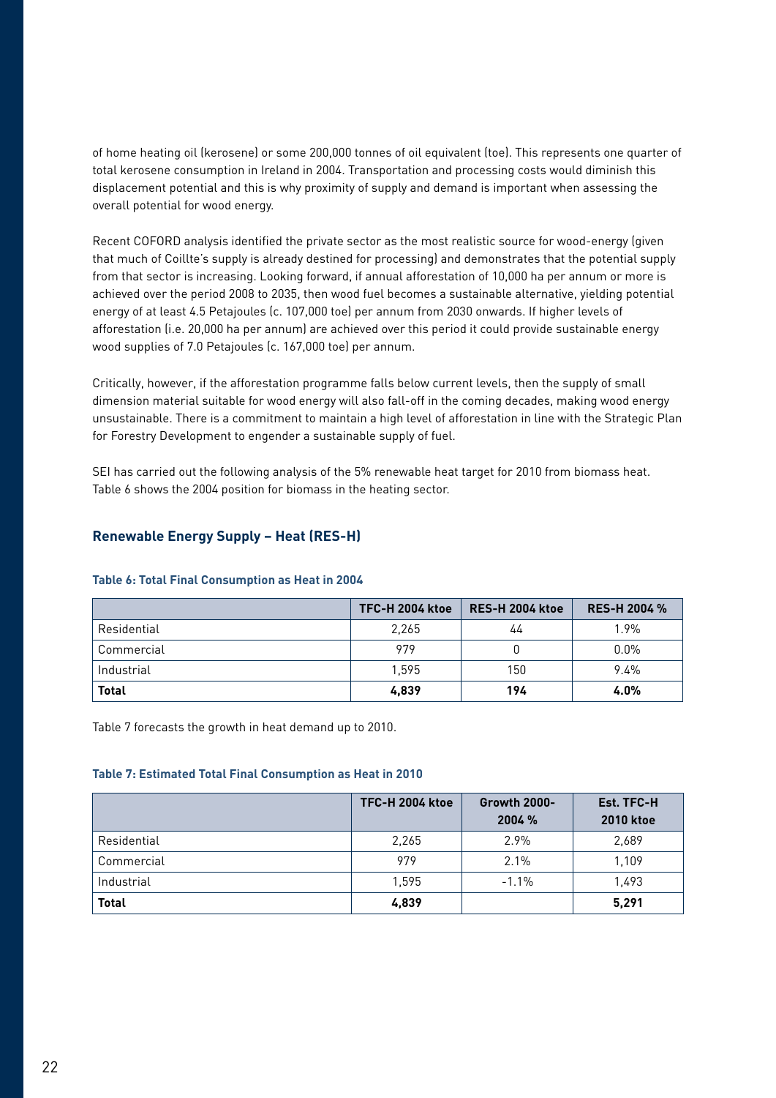of home heating oil (kerosene) or some 200,000 tonnes of oil equivalent (toe). This represents one quarter of total kerosene consumption in Ireland in 2004. Transportation and processing costs would diminish this displacement potential and this is why proximity of supply and demand is important when assessing the overall potential for wood energy.

Recent COFORD analysis identified the private sector as the most realistic source for wood-energy (given that much of Coillte's supply is already destined for processing) and demonstrates that the potential supply from that sector is increasing. Looking forward, if annual afforestation of 10,000 ha per annum or more is achieved over the period 2008 to 2035, then wood fuel becomes a sustainable alternative, yielding potential energy of at least 4.5 Petajoules (c. 107,000 toe) per annum from 2030 onwards. If higher levels of afforestation (i.e. 20,000 ha per annum) are achieved over this period it could provide sustainable energy wood supplies of 7.0 Petajoules (c. 167,000 toe) per annum.

Critically, however, if the afforestation programme falls below current levels, then the supply of small dimension material suitable for wood energy will also fall-off in the coming decades, making wood energy unsustainable. There is a commitment to maintain a high level of afforestation in line with the Strategic Plan for Forestry Development to engender a sustainable supply of fuel.

SEI has carried out the following analysis of the 5% renewable heat target for 2010 from biomass heat. Table 6 shows the 2004 position for biomass in the heating sector.

#### **Renewable Energy Supply – Heat (RES-H)**

|              | TFC-H 2004 ktoe | <b>RES-H 2004 ktoe</b> | <b>RES-H 2004 %</b> |
|--------------|-----------------|------------------------|---------------------|
| Residential  | 2.265           | 44                     | 1.9%                |
| Commercial   | 979             |                        | $0.0\%$             |
| Industrial   | 1,595           | 150                    | $9.4\%$             |
| <b>Total</b> | 4.839           | 194                    | $4.0\%$             |

#### **Table 6: Total Final Consumption as Heat in 2004**

Table 7 forecasts the growth in heat demand up to 2010.

#### **Table 7: Estimated Total Final Consumption as Heat in 2010**

|              | <b>TFC-H 2004 ktoe</b> | <b>Growth 2000-</b> | Est. TFC-H       |
|--------------|------------------------|---------------------|------------------|
|              |                        | 2004 %              | <b>2010 ktoe</b> |
| Residential  | 2,265                  | 2.9%                | 2,689            |
| Commercial   | 979                    | 2.1%                | 1,109            |
| Industrial   | 1,595                  | $-1.1\%$            | 1,493            |
| <b>Total</b> | 4,839                  |                     | 5,291            |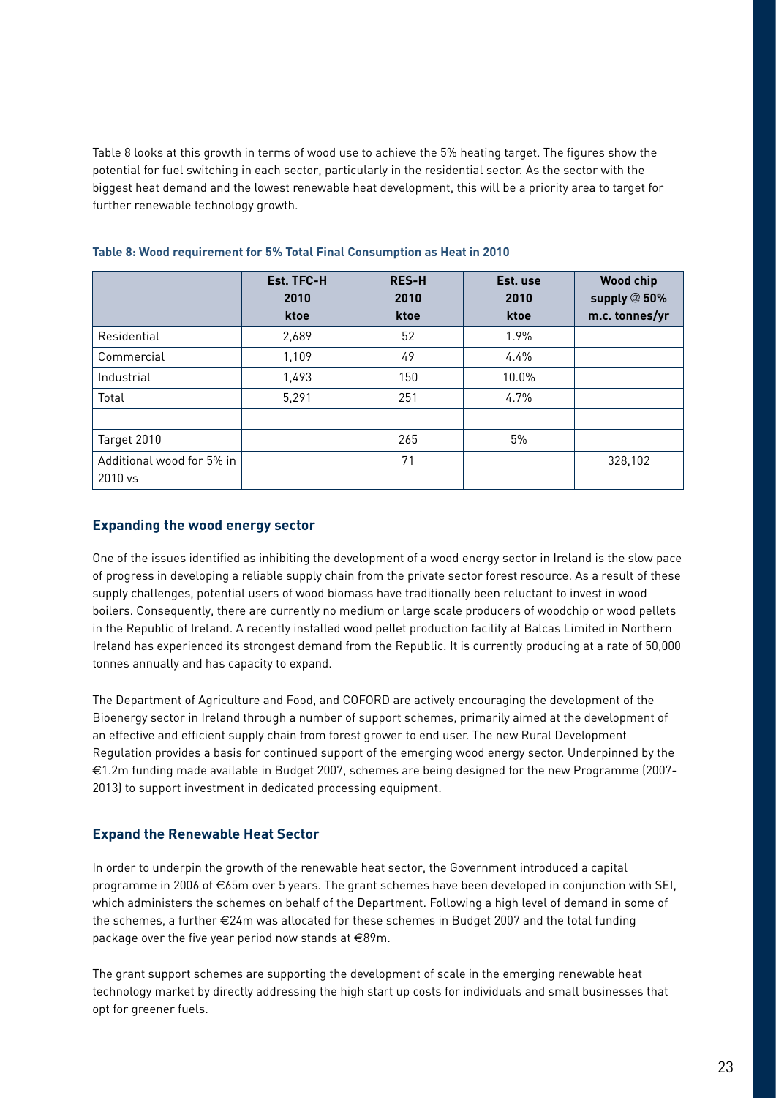Table 8 looks at this growth in terms of wood use to achieve the 5% heating target. The figures show the potential for fuel switching in each sector, particularly in the residential sector. As the sector with the biggest heat demand and the lowest renewable heat development, this will be a priority area to target for further renewable technology growth.

|                                      | Est. TFC-H<br>2010<br>ktoe | <b>RES-H</b><br>2010<br>ktoe | Est. use<br>2010<br>ktoe | <b>Wood chip</b><br>supply $@$ 50%<br>m.c. tonnes/yr |
|--------------------------------------|----------------------------|------------------------------|--------------------------|------------------------------------------------------|
| Residential                          | 2,689                      | 52                           | 1.9%                     |                                                      |
| Commercial                           | 1,109                      | 49                           | 4.4%                     |                                                      |
| Industrial                           | 1,493                      | 150                          | 10.0%                    |                                                      |
| Total                                | 5,291                      | 251                          | 4.7%                     |                                                      |
|                                      |                            |                              |                          |                                                      |
| Target 2010                          |                            | 265                          | 5%                       |                                                      |
| Additional wood for 5% in<br>2010 vs |                            | 71                           |                          | 328,102                                              |

#### **Table 8: Wood requirement for 5% Total Final Consumption as Heat in 2010**

#### **Expanding the wood energy sector**

One of the issues identified as inhibiting the development of a wood energy sector in Ireland is the slow pace of progress in developing a reliable supply chain from the private sector forest resource. As a result of these supply challenges, potential users of wood biomass have traditionally been reluctant to invest in wood boilers. Consequently, there are currently no medium or large scale producers of woodchip or wood pellets in the Republic of Ireland. A recently installed wood pellet production facility at Balcas Limited in Northern Ireland has experienced its strongest demand from the Republic. It is currently producing at a rate of 50,000 tonnes annually and has capacity to expand.

The Department of Agriculture and Food, and COFORD are actively encouraging the development of the Bioenergy sector in Ireland through a number of support schemes, primarily aimed at the development of an effective and efficient supply chain from forest grower to end user. The new Rural Development Regulation provides a basis for continued support of the emerging wood energy sector. Underpinned by the €1.2m funding made available in Budget 2007, schemes are being designed for the new Programme (2007- 2013) to support investment in dedicated processing equipment.

#### **Expand the Renewable Heat Sector**

In order to underpin the growth of the renewable heat sector, the Government introduced a capital programme in 2006 of €65m over 5 years. The grant schemes have been developed in conjunction with SEI, which administers the schemes on behalf of the Department. Following a high level of demand in some of the schemes, a further €24m was allocated for these schemes in Budget 2007 and the total funding package over the five year period now stands at €89m.

The grant support schemes are supporting the development of scale in the emerging renewable heat technology market by directly addressing the high start up costs for individuals and small businesses that opt for greener fuels.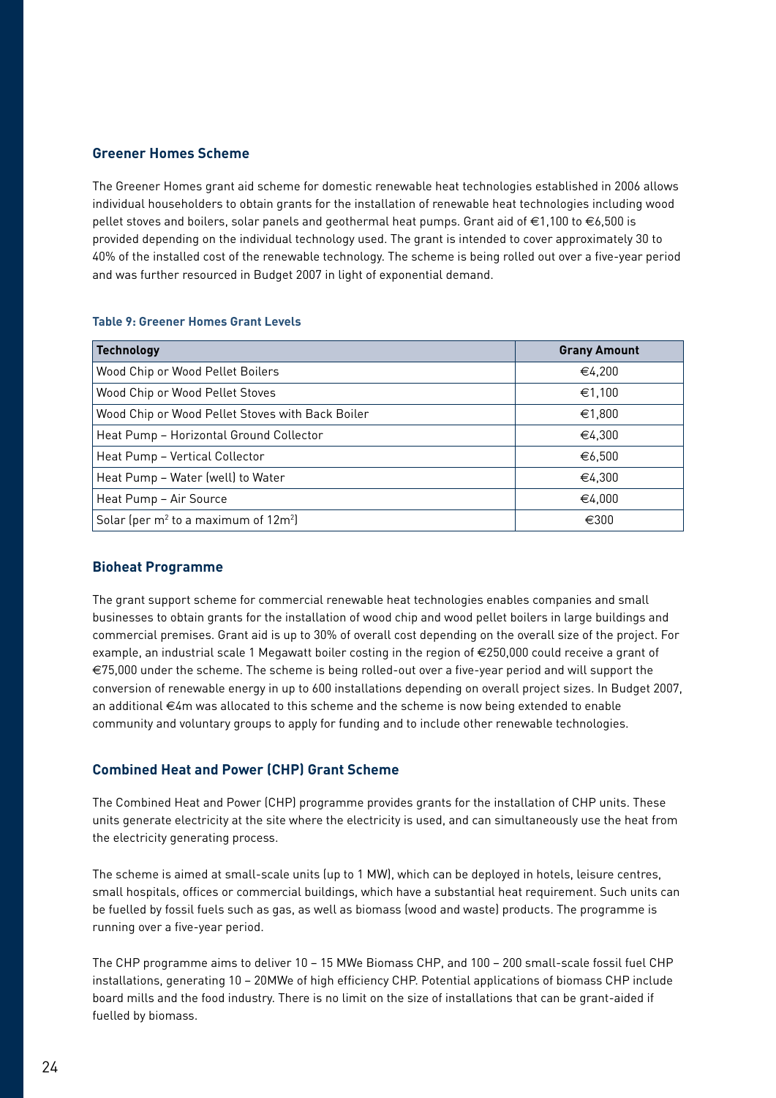#### **Greener Homes Scheme**

The Greener Homes grant aid scheme for domestic renewable heat technologies established in 2006 allows individual householders to obtain grants for the installation of renewable heat technologies including wood pellet stoves and boilers, solar panels and geothermal heat pumps. Grant aid of €1,100 to €6,500 is provided depending on the individual technology used. The grant is intended to cover approximately 30 to 40% of the installed cost of the renewable technology. The scheme is being rolled out over a five-year period and was further resourced in Budget 2007 in light of exponential demand.

#### **Table 9: Greener Homes Grant Levels**

| <b>Technology</b>                                            | <b>Grany Amount</b> |
|--------------------------------------------------------------|---------------------|
| Wood Chip or Wood Pellet Boilers                             | €4,200              |
| Wood Chip or Wood Pellet Stoves                              | €1,100              |
| Wood Chip or Wood Pellet Stoves with Back Boiler             | €1,800              |
| Heat Pump - Horizontal Ground Collector                      | €4,300              |
| Heat Pump - Vertical Collector                               | €6,500              |
| Heat Pump - Water (well) to Water                            | €4,300              |
| Heat Pump - Air Source                                       | €4,000              |
| Solar (per m <sup>2</sup> to a maximum of 12m <sup>2</sup> ) | €300                |

#### **Bioheat Programme**

The grant support scheme for commercial renewable heat technologies enables companies and small businesses to obtain grants for the installation of wood chip and wood pellet boilers in large buildings and commercial premises. Grant aid is up to 30% of overall cost depending on the overall size of the project. For example, an industrial scale 1 Megawatt boiler costing in the region of €250,000 could receive a grant of €75,000 under the scheme. The scheme is being rolled-out over a five-year period and will support the conversion of renewable energy in up to 600 installations depending on overall project sizes. In Budget 2007, an additional €4m was allocated to this scheme and the scheme is now being extended to enable community and voluntary groups to apply for funding and to include other renewable technologies.

#### **Combined Heat and Power (CHP) Grant Scheme**

The Combined Heat and Power (CHP) programme provides grants for the installation of CHP units. These units generate electricity at the site where the electricity is used, and can simultaneously use the heat from the electricity generating process.

The scheme is aimed at small-scale units (up to 1 MW), which can be deployed in hotels, leisure centres, small hospitals, offices or commercial buildings, which have a substantial heat requirement. Such units can be fuelled by fossil fuels such as gas, as well as biomass (wood and waste) products. The programme is running over a five-year period.

The CHP programme aims to deliver 10 – 15 MWe Biomass CHP, and 100 – 200 small-scale fossil fuel CHP installations, generating 10 – 20MWe of high efficiency CHP. Potential applications of biomass CHP include board mills and the food industry. There is no limit on the size of installations that can be grant-aided if fuelled by biomass.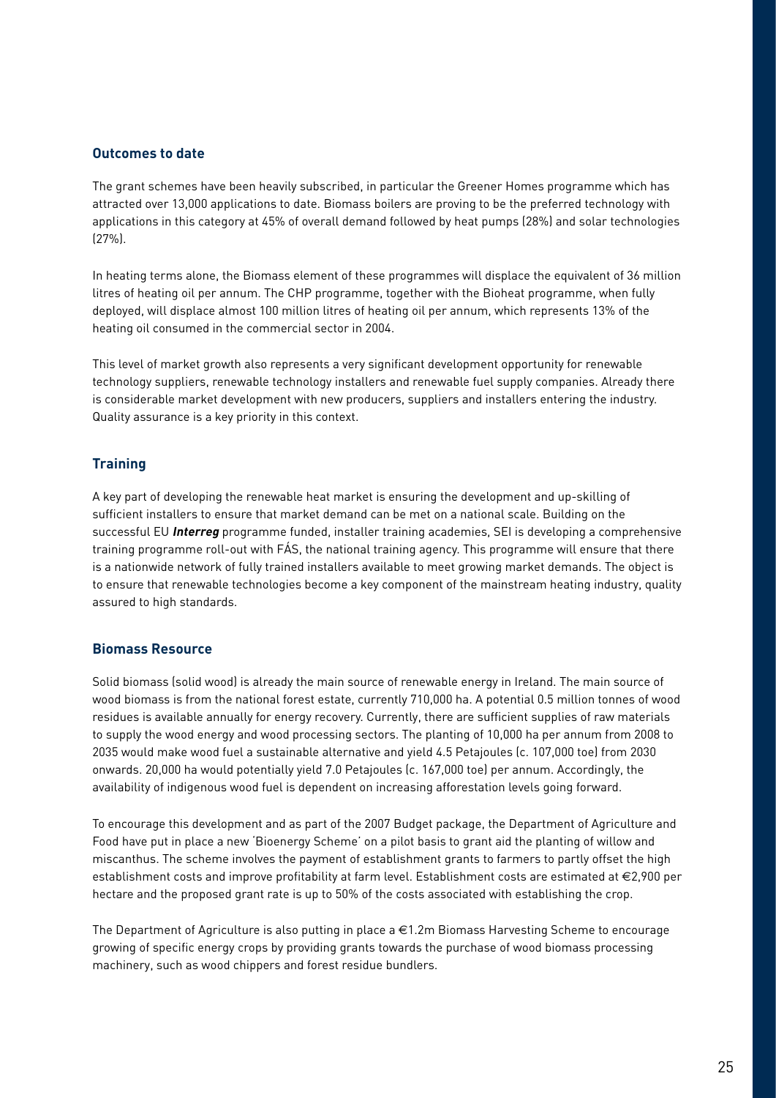#### **Outcomes to date**

The grant schemes have been heavily subscribed, in particular the Greener Homes programme which has attracted over 13,000 applications to date. Biomass boilers are proving to be the preferred technology with applications in this category at 45% of overall demand followed by heat pumps (28%) and solar technologies  $(27\%)$ 

In heating terms alone, the Biomass element of these programmes will displace the equivalent of 36 million litres of heating oil per annum. The CHP programme, together with the Bioheat programme, when fully deployed, will displace almost 100 million litres of heating oil per annum, which represents 13% of the heating oil consumed in the commercial sector in 2004.

This level of market growth also represents a very significant development opportunity for renewable technology suppliers, renewable technology installers and renewable fuel supply companies. Already there is considerable market development with new producers, suppliers and installers entering the industry. Quality assurance is a key priority in this context.

#### **Training**

A key part of developing the renewable heat market is ensuring the development and up-skilling of sufficient installers to ensure that market demand can be met on a national scale. Building on the successful EU **Interreg** programme funded, installer training academies, SEI is developing a comprehensive training programme roll-out with FÁS, the national training agency. This programme will ensure that there is a nationwide network of fully trained installers available to meet growing market demands. The object is to ensure that renewable technologies become a key component of the mainstream heating industry, quality assured to high standards.

#### **Biomass Resource**

Solid biomass (solid wood) is already the main source of renewable energy in Ireland. The main source of wood biomass is from the national forest estate, currently 710,000 ha. A potential 0.5 million tonnes of wood residues is available annually for energy recovery. Currently, there are sufficient supplies of raw materials to supply the wood energy and wood processing sectors. The planting of 10,000 ha per annum from 2008 to 2035 would make wood fuel a sustainable alternative and yield 4.5 Petajoules (c. 107,000 toe) from 2030 onwards. 20,000 ha would potentially yield 7.0 Petajoules (c. 167,000 toe) per annum. Accordingly, the availability of indigenous wood fuel is dependent on increasing afforestation levels going forward.

To encourage this development and as part of the 2007 Budget package, the Department of Agriculture and Food have put in place a new 'Bioenergy Scheme' on a pilot basis to grant aid the planting of willow and miscanthus. The scheme involves the payment of establishment grants to farmers to partly offset the high establishment costs and improve profitability at farm level. Establishment costs are estimated at €2,900 per hectare and the proposed grant rate is up to 50% of the costs associated with establishing the crop.

The Department of Agriculture is also putting in place a €1.2m Biomass Harvesting Scheme to encourage growing of specific energy crops by providing grants towards the purchase of wood biomass processing machinery, such as wood chippers and forest residue bundlers.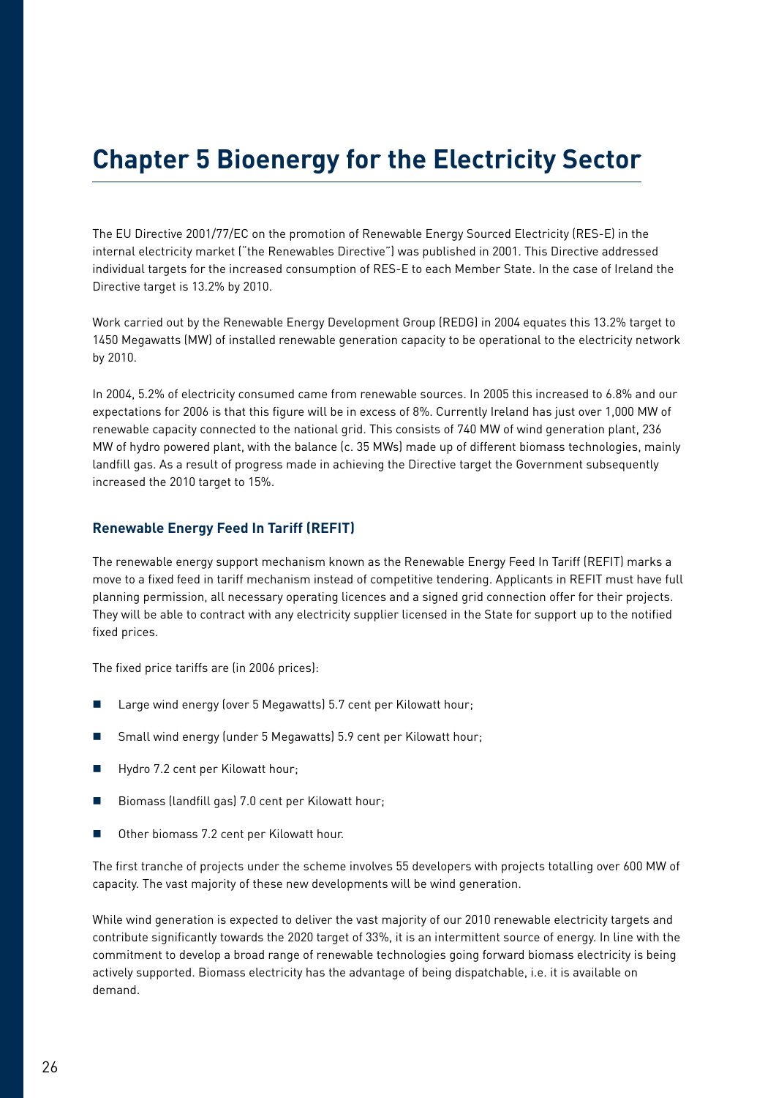# **Chapter 5 Bioenergy for the Electricity Sector**

The EU Directive 2001/77/EC on the promotion of Renewable Energy Sourced Electricity (RES-E) in the internal electricity market ("the Renewables Directive") was published in 2001. This Directive addressed individual targets for the increased consumption of RES-E to each Member State. In the case of Ireland the Directive target is 13.2% by 2010.

Work carried out by the Renewable Energy Development Group (REDG) in 2004 equates this 13.2% target to 1450 Megawatts (MW) of installed renewable generation capacity to be operational to the electricity network by 2010.

In 2004, 5.2% of electricity consumed came from renewable sources. In 2005 this increased to 6.8% and our expectations for 2006 is that this figure will be in excess of 8%. Currently Ireland has just over 1,000 MW of renewable capacity connected to the national grid. This consists of 740 MW of wind generation plant, 236 MW of hydro powered plant, with the balance (c. 35 MWs) made up of different biomass technologies, mainly landfill gas. As a result of progress made in achieving the Directive target the Government subsequently increased the 2010 target to 15%.

#### **Renewable Energy Feed In Tariff (REFIT)**

The renewable energy support mechanism known as the Renewable Energy Feed In Tariff (REFIT) marks a move to a fixed feed in tariff mechanism instead of competitive tendering. Applicants in REFIT must have full planning permission, all necessary operating licences and a signed grid connection offer for their projects. They will be able to contract with any electricity supplier licensed in the State for support up to the notified fixed prices.

The fixed price tariffs are (in 2006 prices):

- Large wind energy (over 5 Megawatts) 5.7 cent per Kilowatt hour;
- Small wind energy (under 5 Megawatts) 5.9 cent per Kilowatt hour;
- $\blacksquare$  Hydro 7.2 cent per Kilowatt hour;
- $\blacksquare$  Biomass (landfill gas) 7.0 cent per Kilowatt hour;
- Other biomass 7.2 cent per Kilowatt hour.

The first tranche of projects under the scheme involves 55 developers with projects totalling over 600 MW of capacity. The vast majority of these new developments will be wind generation.

While wind generation is expected to deliver the vast majority of our 2010 renewable electricity targets and contribute significantly towards the 2020 target of 33%, it is an intermittent source of energy. In line with the commitment to develop a broad range of renewable technologies going forward biomass electricity is being actively supported. Biomass electricity has the advantage of being dispatchable, i.e. it is available on demand.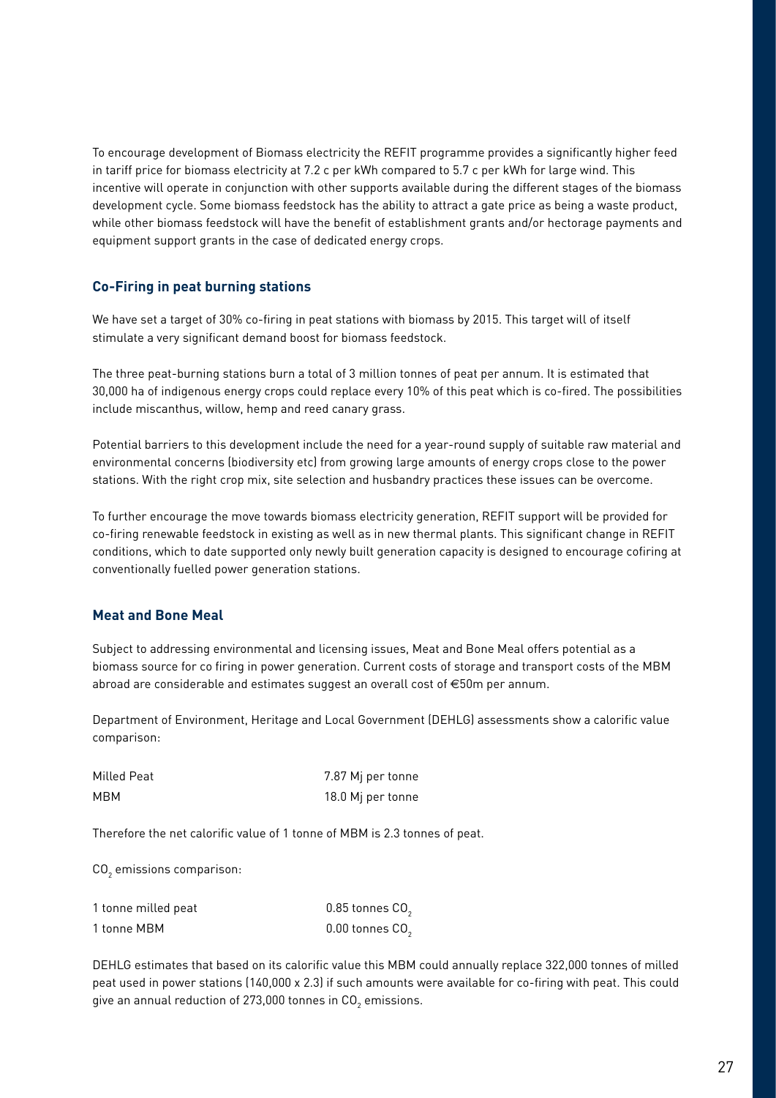To encourage development of Biomass electricity the REFIT programme provides a significantly higher feed in tariff price for biomass electricity at 7.2 c per kWh compared to 5.7 c per kWh for large wind. This incentive will operate in conjunction with other supports available during the different stages of the biomass development cycle. Some biomass feedstock has the ability to attract a gate price as being a waste product, while other biomass feedstock will have the benefit of establishment grants and/or hectorage payments and equipment support grants in the case of dedicated energy crops.

#### **Co-Firing in peat burning stations**

We have set a target of 30% co-firing in peat stations with biomass by 2015. This target will of itself stimulate a very significant demand boost for biomass feedstock.

The three peat-burning stations burn a total of 3 million tonnes of peat per annum. It is estimated that 30,000 ha of indigenous energy crops could replace every 10% of this peat which is co-fired. The possibilities include miscanthus, willow, hemp and reed canary grass.

Potential barriers to this development include the need for a year-round supply of suitable raw material and environmental concerns (biodiversity etc) from growing large amounts of energy crops close to the power stations. With the right crop mix, site selection and husbandry practices these issues can be overcome.

To further encourage the move towards biomass electricity generation, REFIT support will be provided for co-firing renewable feedstock in existing as well as in new thermal plants. This significant change in REFIT conditions, which to date supported only newly built generation capacity is designed to encourage cofiring at conventionally fuelled power generation stations.

#### **Meat and Bone Meal**

Subject to addressing environmental and licensing issues, Meat and Bone Meal offers potential as a biomass source for co firing in power generation. Current costs of storage and transport costs of the MBM abroad are considerable and estimates suggest an overall cost of €50m per annum.

Department of Environment, Heritage and Local Government (DEHLG) assessments show a calorific value comparison:

| Milled Peat | 7.87 Mi per tonne |
|-------------|-------------------|
| MBM         | 18.0 Mj per tonne |

Therefore the net calorific value of 1 tonne of MBM is 2.3 tonnes of peat.

CO<sub>2</sub> emissions comparison:

| 1 tonne milled peat | $0.85$ tonnes CO <sub>2</sub> |
|---------------------|-------------------------------|
| 1 tonne MBM         | $0.00$ tonnes CO <sub>2</sub> |

DEHLG estimates that based on its calorific value this MBM could annually replace 322,000 tonnes of milled peat used in power stations (140,000 x 2.3) if such amounts were available for co-firing with peat. This could give an annual reduction of  $273,000$  tonnes in  $CO<sub>2</sub>$  emissions.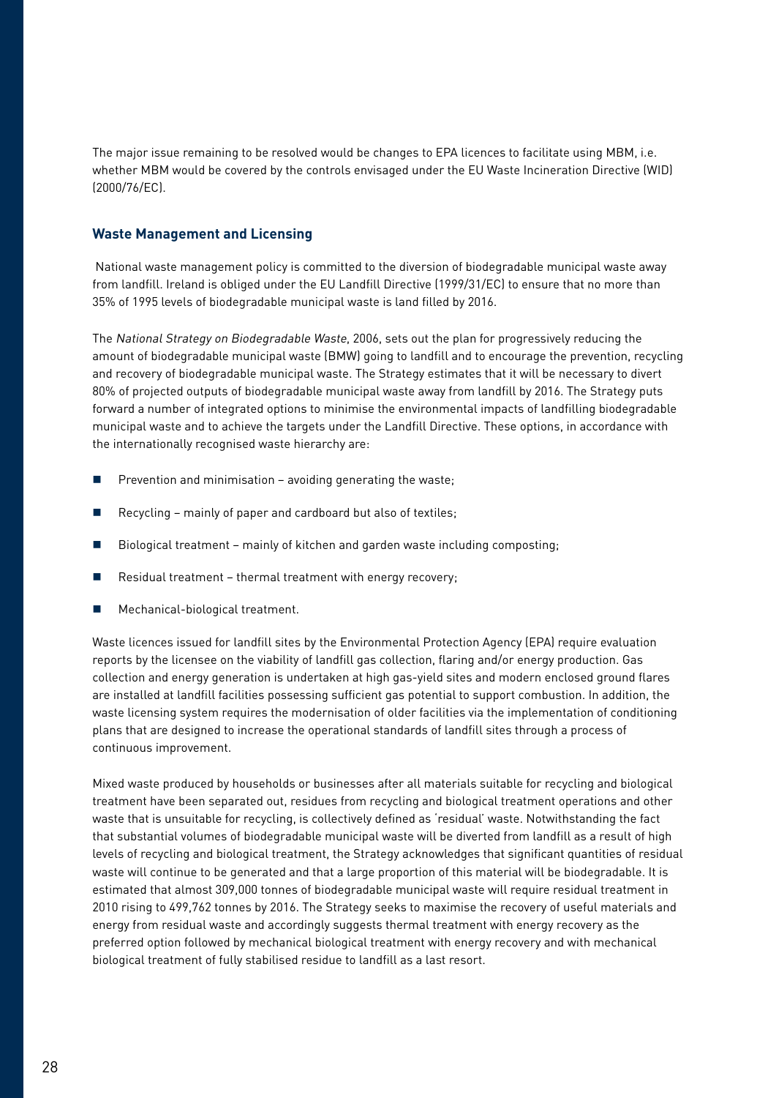The major issue remaining to be resolved would be changes to EPA licences to facilitate using MBM, i.e. whether MBM would be covered by the controls envisaged under the EU Waste Incineration Directive (WID) (2000/76/EC).

#### **Waste Management and Licensing**

National waste management policy is committed to the diversion of biodegradable municipal waste away from landfill. Ireland is obliged under the EU Landfill Directive (1999/31/EC) to ensure that no more than 35% of 1995 levels of biodegradable municipal waste is land filled by 2016.

The National Strategy on Biodegradable Waste, 2006, sets out the plan for progressively reducing the amount of biodegradable municipal waste (BMW) going to landfill and to encourage the prevention, recycling and recovery of biodegradable municipal waste. The Strategy estimates that it will be necessary to divert 80% of projected outputs of biodegradable municipal waste away from landfill by 2016. The Strategy puts forward a number of integrated options to minimise the environmental impacts of landfilling biodegradable municipal waste and to achieve the targets under the Landfill Directive. These options, in accordance with the internationally recognised waste hierarchy are:

- $\blacksquare$  Prevention and minimisation avoiding generating the waste;
- Recycling mainly of paper and cardboard but also of textiles;
- Biological treatment mainly of kitchen and garden waste including composting;
- Residual treatment thermal treatment with energy recovery;
- Mechanical-biological treatment.

Waste licences issued for landfill sites by the Environmental Protection Agency (EPA) require evaluation reports by the licensee on the viability of landfill gas collection, flaring and/or energy production. Gas collection and energy generation is undertaken at high gas-yield sites and modern enclosed ground flares are installed at landfill facilities possessing sufficient gas potential to support combustion. In addition, the waste licensing system requires the modernisation of older facilities via the implementation of conditioning plans that are designed to increase the operational standards of landfill sites through a process of continuous improvement.

Mixed waste produced by households or businesses after all materials suitable for recycling and biological treatment have been separated out, residues from recycling and biological treatment operations and other waste that is unsuitable for recycling, is collectively defined as 'residual' waste. Notwithstanding the fact that substantial volumes of biodegradable municipal waste will be diverted from landfill as a result of high levels of recycling and biological treatment, the Strategy acknowledges that significant quantities of residual waste will continue to be generated and that a large proportion of this material will be biodegradable. It is estimated that almost 309,000 tonnes of biodegradable municipal waste will require residual treatment in 2010 rising to 499,762 tonnes by 2016. The Strategy seeks to maximise the recovery of useful materials and energy from residual waste and accordingly suggests thermal treatment with energy recovery as the preferred option followed by mechanical biological treatment with energy recovery and with mechanical biological treatment of fully stabilised residue to landfill as a last resort.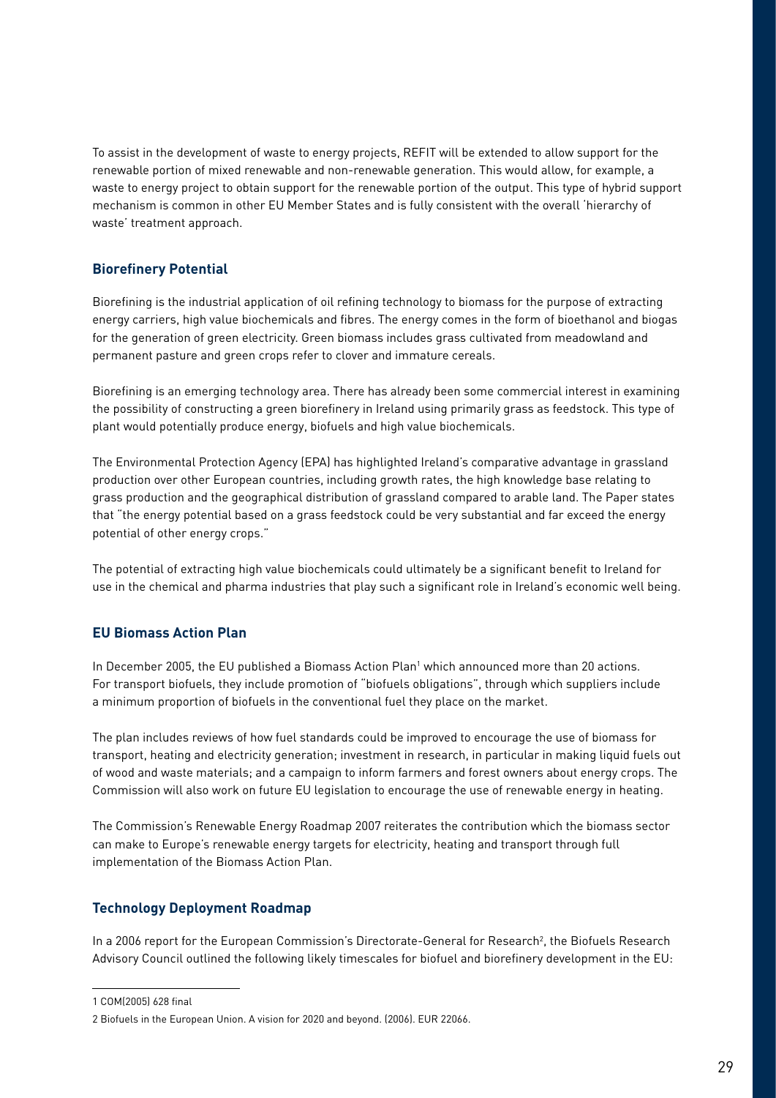To assist in the development of waste to energy projects, REFIT will be extended to allow support for the renewable portion of mixed renewable and non-renewable generation. This would allow, for example, a waste to energy project to obtain support for the renewable portion of the output. This type of hybrid support mechanism is common in other EU Member States and is fully consistent with the overall 'hierarchy of waste' treatment approach.

#### **Biorefinery Potential**

Biorefining is the industrial application of oil refining technology to biomass for the purpose of extracting energy carriers, high value biochemicals and fibres. The energy comes in the form of bioethanol and biogas for the generation of green electricity. Green biomass includes grass cultivated from meadowland and permanent pasture and green crops refer to clover and immature cereals.

Biorefining is an emerging technology area. There has already been some commercial interest in examining the possibility of constructing a green biorefinery in Ireland using primarily grass as feedstock. This type of plant would potentially produce energy, biofuels and high value biochemicals.

The Environmental Protection Agency (EPA) has highlighted Ireland's comparative advantage in grassland production over other European countries, including growth rates, the high knowledge base relating to grass production and the geographical distribution of grassland compared to arable land. The Paper states that "the energy potential based on a grass feedstock could be very substantial and far exceed the energy potential of other energy crops."

The potential of extracting high value biochemicals could ultimately be a significant benefit to Ireland for use in the chemical and pharma industries that play such a significant role in Ireland's economic well being.

#### **EU Biomass Action Plan**

In December 2005, the EU published a Biomass Action Plan<sup>1</sup> which announced more than 20 actions. For transport biofuels, they include promotion of "biofuels obligations", through which suppliers include a minimum proportion of biofuels in the conventional fuel they place on the market.

The plan includes reviews of how fuel standards could be improved to encourage the use of biomass for transport, heating and electricity generation; investment in research, in particular in making liquid fuels out of wood and waste materials; and a campaign to inform farmers and forest owners about energy crops. The Commission will also work on future EU legislation to encourage the use of renewable energy in heating.

The Commission's Renewable Energy Roadmap 2007 reiterates the contribution which the biomass sector can make to Europe's renewable energy targets for electricity, heating and transport through full implementation of the Biomass Action Plan.

#### **Technology Deployment Roadmap**

In a 2006 report for the European Commission's Directorate-General for Research<sup>2</sup>, the Biofuels Research Advisory Council outlined the following likely timescales for biofuel and biorefinery development in the EU:

COM(2005) 628 final

<sup>2</sup> Biofuels in the European Union. A vision for 2020 and beyond. (2006). EUR 22066.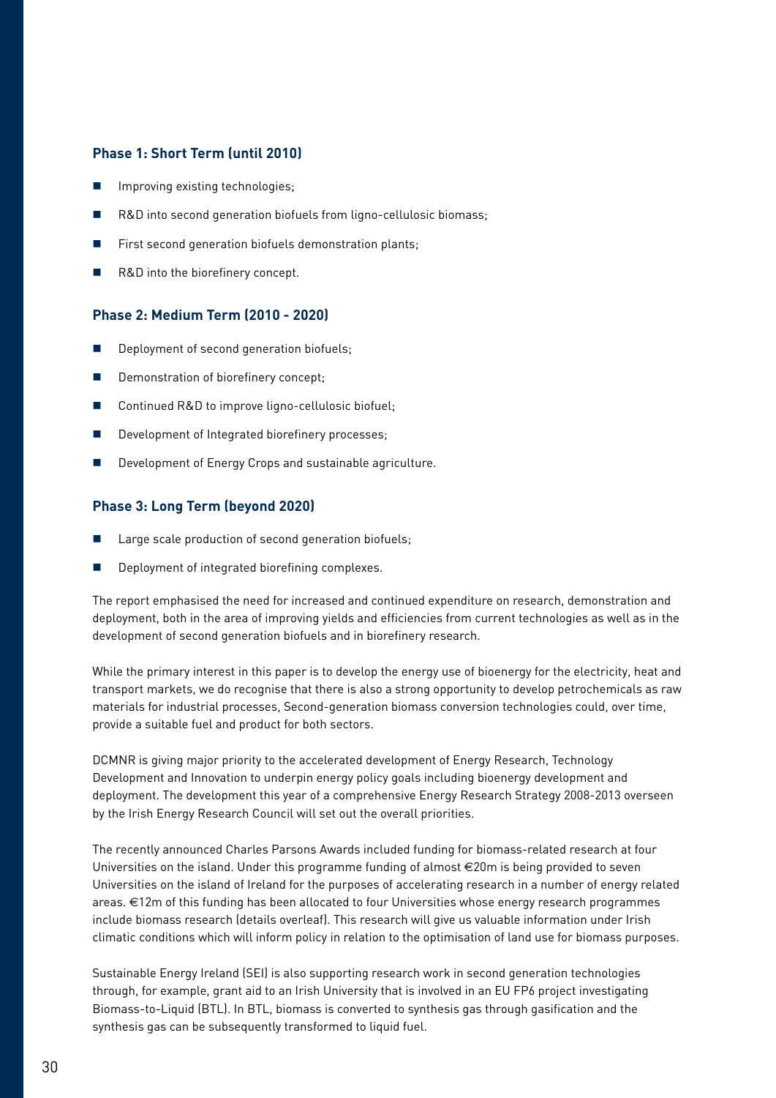#### **Phase 1: Short Term (until 2010)**

- Improving existing technologies;
- R&D into second generation biofuels from ligno-cellulosic biomass;
- $\blacksquare$  First second generation biofuels demonstration plants;
- R&D into the biorefinery concept.

#### **Phase 2: Medium Term (2010 - 2020)**

- Deployment of second generation biofuels;
- **n** Demonstration of biorefinery concept;
- Continued R&D to improve ligno-cellulosic biofuel;
- Development of Integrated biorefinery processes;
- Development of Energy Crops and sustainable agriculture.

#### **Phase 3: Long Term (beyond 2020)**

- Large scale production of second generation biofuels;
- Deployment of integrated biorefining complexes.

The report emphasised the need for increased and continued expenditure on research, demonstration and deployment, both in the area of improving yields and efficiencies from current technologies as well as in the development of second generation biofuels and in biorefinery research.

While the primary interest in this paper is to develop the energy use of bioenergy for the electricity, heat and transport markets, we do recognise that there is also a strong opportunity to develop petrochemicals as raw materials for industrial processes, Second-generation biomass conversion technologies could, over time, provide a suitable fuel and product for both sectors.

DCMNR is giving major priority to the accelerated development of Energy Research, Technology Development and Innovation to underpin energy policy goals including bioenergy development and deployment. The development this year of a comprehensive Energy Research Strategy 2008-2013 overseen by the Irish Energy Research Council will set out the overall priorities.

The recently announced Charles Parsons Awards included funding for biomass-related research at four Universities on the island. Under this programme funding of almost €20m is being provided to seven Universities on the island of Ireland for the purposes of accelerating research in a number of energy related areas. €12m of this funding has been allocated to four Universities whose energy research programmes include biomass research (details overleaf). This research will give us valuable information under Irish climatic conditions which will inform policy in relation to the optimisation of land use for biomass purposes.

Sustainable Energy Ireland (SEI) is also supporting research work in second generation technologies through, for example, grant aid to an Irish University that is involved in an EU FP6 project investigating Biomass-to-Liquid (BTL). In BTL, biomass is converted to synthesis gas through gasification and the synthesis gas can be subsequently transformed to liquid fuel.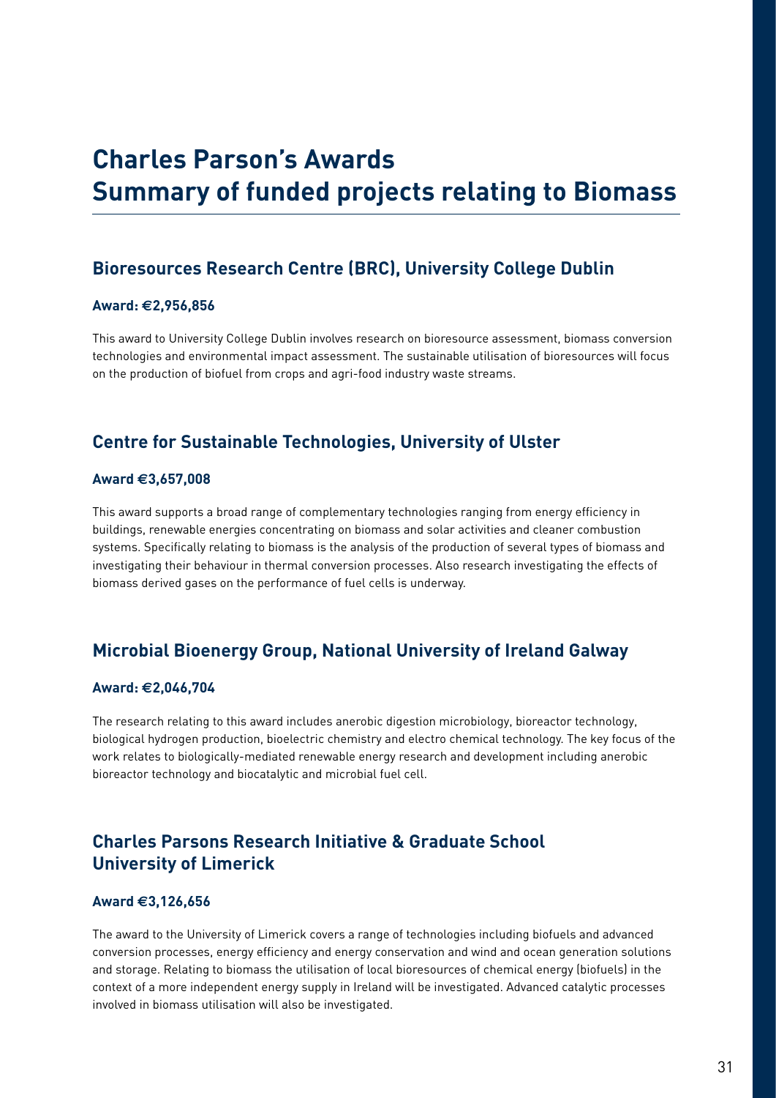# **Charles Parson's Awards Summary of funded projects relating to Biomass**

### **Bioresources Research Centre (BRC), University College Dublin**

#### **Award: €2,956,856**

This award to University College Dublin involves research on bioresource assessment, biomass conversion technologies and environmental impact assessment. The sustainable utilisation of bioresources will focus on the production of biofuel from crops and agri-food industry waste streams.

### **Centre for Sustainable Technologies, University of Ulster**

#### **Award €3,657,008**

This award supports a broad range of complementary technologies ranging from energy efficiency in buildings, renewable energies concentrating on biomass and solar activities and cleaner combustion systems. Specifically relating to biomass is the analysis of the production of several types of biomass and investigating their behaviour in thermal conversion processes. Also research investigating the effects of biomass derived gases on the performance of fuel cells is underway.

### **Microbial Bioenergy Group, National University of Ireland Galway**

#### **Award: €2,046,704**

The research relating to this award includes anerobic digestion microbiology, bioreactor technology, biological hydrogen production, bioelectric chemistry and electro chemical technology. The key focus of the work relates to biologically-mediated renewable energy research and development including anerobic bioreactor technology and biocatalytic and microbial fuel cell.

### **Charles Parsons Research Initiative & Graduate School University of Limerick**

#### **Award €3,126,656**

The award to the University of Limerick covers a range of technologies including biofuels and advanced conversion processes, energy efficiency and energy conservation and wind and ocean generation solutions and storage. Relating to biomass the utilisation of local bioresources of chemical energy (biofuels) in the context of a more independent energy supply in Ireland will be investigated. Advanced catalytic processes involved in biomass utilisation will also be investigated.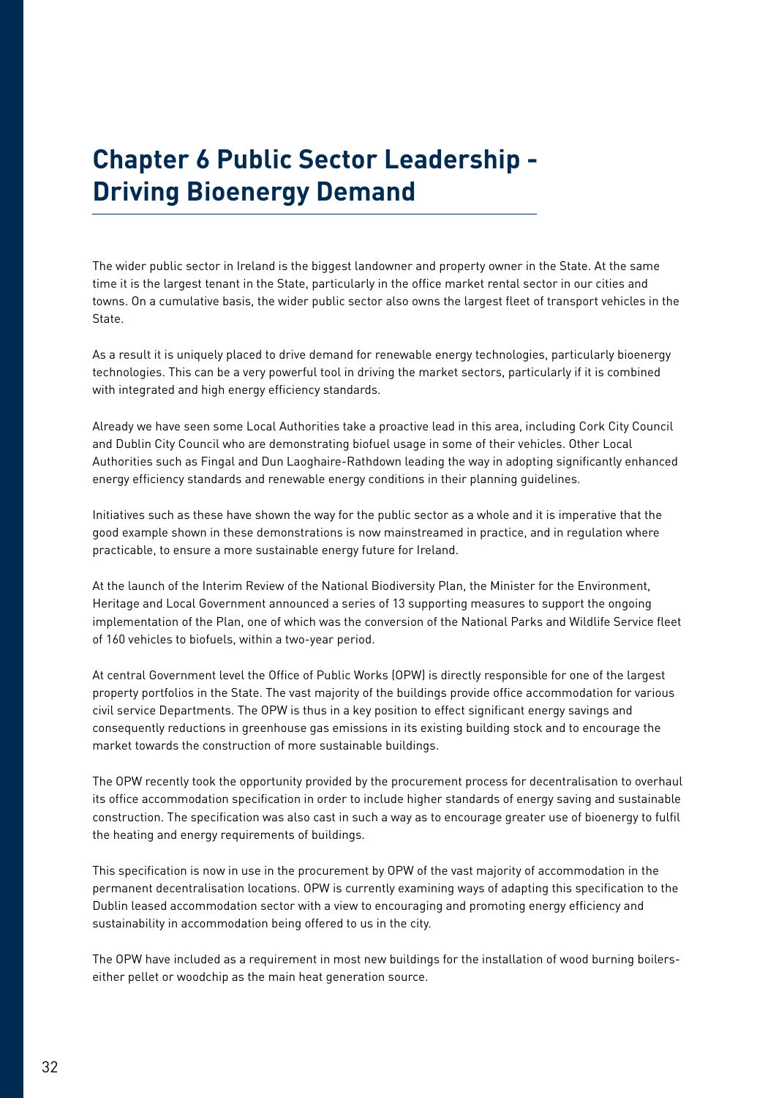# **Chapter 6 Public Sector Leadership - Driving Bioenergy Demand**

The wider public sector in Ireland is the biggest landowner and property owner in the State. At the same time it is the largest tenant in the State, particularly in the office market rental sector in our cities and towns. On a cumulative basis, the wider public sector also owns the largest fleet of transport vehicles in the State.

As a result it is uniquely placed to drive demand for renewable energy technologies, particularly bioenergy technologies. This can be a very powerful tool in driving the market sectors, particularly if it is combined with integrated and high energy efficiency standards.

Already we have seen some Local Authorities take a proactive lead in this area, including Cork City Council and Dublin City Council who are demonstrating biofuel usage in some of their vehicles. Other Local Authorities such as Fingal and Dun Laoghaire-Rathdown leading the way in adopting significantly enhanced energy efficiency standards and renewable energy conditions in their planning guidelines.

Initiatives such as these have shown the way for the public sector as a whole and it is imperative that the good example shown in these demonstrations is now mainstreamed in practice, and in regulation where practicable, to ensure a more sustainable energy future for Ireland.

At the launch of the Interim Review of the National Biodiversity Plan, the Minister for the Environment, Heritage and Local Government announced a series of 13 supporting measures to support the ongoing implementation of the Plan, one of which was the conversion of the National Parks and Wildlife Service fleet of 160 vehicles to biofuels, within a two-year period.

At central Government level the Office of Public Works (OPW) is directly responsible for one of the largest property portfolios in the State. The vast majority of the buildings provide office accommodation for various civil service Departments. The OPW is thus in a key position to effect significant energy savings and consequently reductions in greenhouse gas emissions in its existing building stock and to encourage the market towards the construction of more sustainable buildings.

The OPW recently took the opportunity provided by the procurement process for decentralisation to overhaul its office accommodation specification in order to include higher standards of energy saving and sustainable construction. The specification was also cast in such a way as to encourage greater use of bioenergy to fulfil the heating and energy requirements of buildings.

This specification is now in use in the procurement by OPW of the vast majority of accommodation in the permanent decentralisation locations. OPW is currently examining ways of adapting this specification to the Dublin leased accommodation sector with a view to encouraging and promoting energy efficiency and sustainability in accommodation being offered to us in the city.

The OPW have included as a requirement in most new buildings for the installation of wood burning boilerseither pellet or woodchip as the main heat generation source.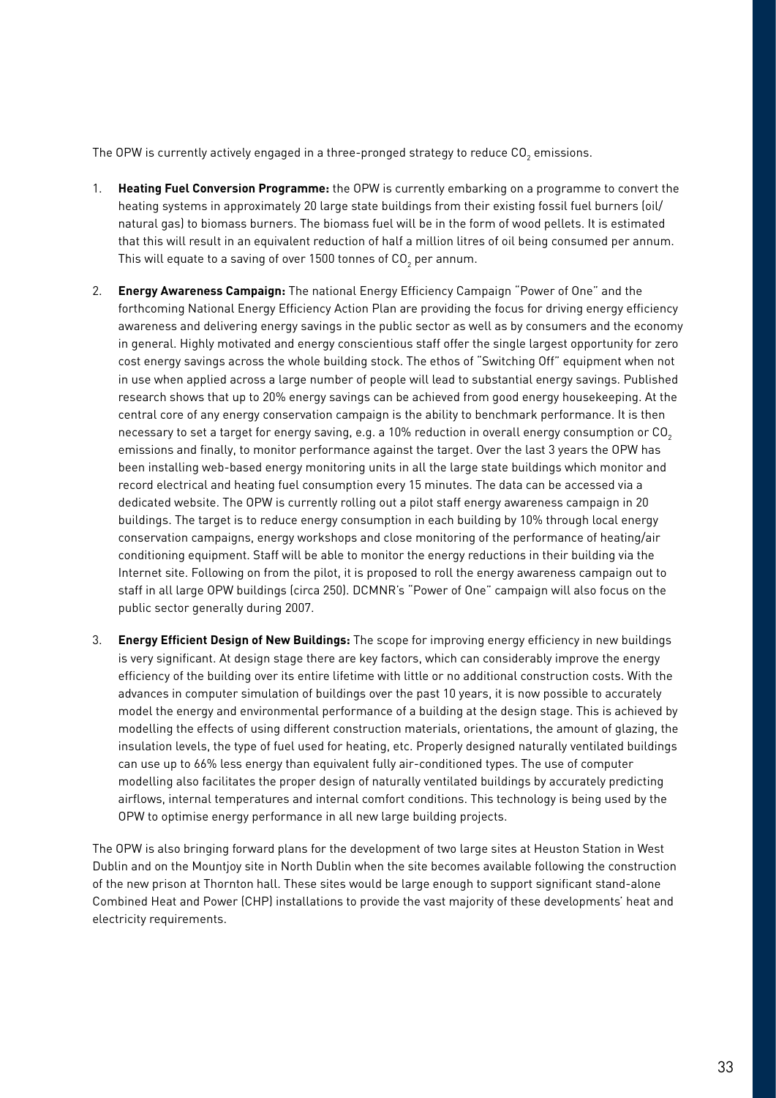The OPW is currently actively engaged in a three-pronged strategy to reduce CO<sub>2</sub> emissions.

- 1. **Heating Fuel Conversion Programme:** the OPW is currently embarking on a programme to convert the heating systems in approximately 20 large state buildings from their existing fossil fuel burners (oil/ natural gas) to biomass burners. The biomass fuel will be in the form of wood pellets. It is estimated that this will result in an equivalent reduction of half a million litres of oil being consumed per annum. This will equate to a saving of over 1500 tonnes of CO<sub>2</sub> per annum.
- 2. **Energy Awareness Campaign:** The national Energy Efficiency Campaign "Power of One" and the forthcoming National Energy Efficiency Action Plan are providing the focus for driving energy efficiency awareness and delivering energy savings in the public sector as well as by consumers and the economy in general. Highly motivated and energy conscientious staff offer the single largest opportunity for zero cost energy savings across the whole building stock. The ethos of "Switching Off" equipment when not in use when applied across a large number of people will lead to substantial energy savings. Published research shows that up to 20% energy savings can be achieved from good energy housekeeping. At the central core of any energy conservation campaign is the ability to benchmark performance. It is then necessary to set a target for energy saving, e.g. a 10% reduction in overall energy consumption or CO<sub>2</sub> emissions and finally, to monitor performance against the target. Over the last 3 years the OPW has been installing web-based energy monitoring units in all the large state buildings which monitor and record electrical and heating fuel consumption every 15 minutes. The data can be accessed via a dedicated website. The OPW is currently rolling out a pilot staff energy awareness campaign in 20 buildings. The target is to reduce energy consumption in each building by 10% through local energy conservation campaigns, energy workshops and close monitoring of the performance of heating/air conditioning equipment. Staff will be able to monitor the energy reductions in their building via the Internet site. Following on from the pilot, it is proposed to roll the energy awareness campaign out to staff in all large OPW buildings (circa 250). DCMNR's "Power of One" campaign will also focus on the public sector generally during 2007.
- 3. **Energy Efficient Design of New Buildings:** The scope for improving energy efficiency in new buildings is very significant. At design stage there are key factors, which can considerably improve the energy efficiency of the building over its entire lifetime with little or no additional construction costs. With the advances in computer simulation of buildings over the past 10 years, it is now possible to accurately model the energy and environmental performance of a building at the design stage. This is achieved by modelling the effects of using different construction materials, orientations, the amount of glazing, the insulation levels, the type of fuel used for heating, etc. Properly designed naturally ventilated buildings can use up to 66% less energy than equivalent fully air-conditioned types. The use of computer modelling also facilitates the proper design of naturally ventilated buildings by accurately predicting airflows, internal temperatures and internal comfort conditions. This technology is being used by the OPW to optimise energy performance in all new large building projects.

The OPW is also bringing forward plans for the development of two large sites at Heuston Station in West Dublin and on the Mountjoy site in North Dublin when the site becomes available following the construction of the new prison at Thornton hall. These sites would be large enough to support significant stand-alone Combined Heat and Power (CHP) installations to provide the vast majority of these developments' heat and electricity requirements.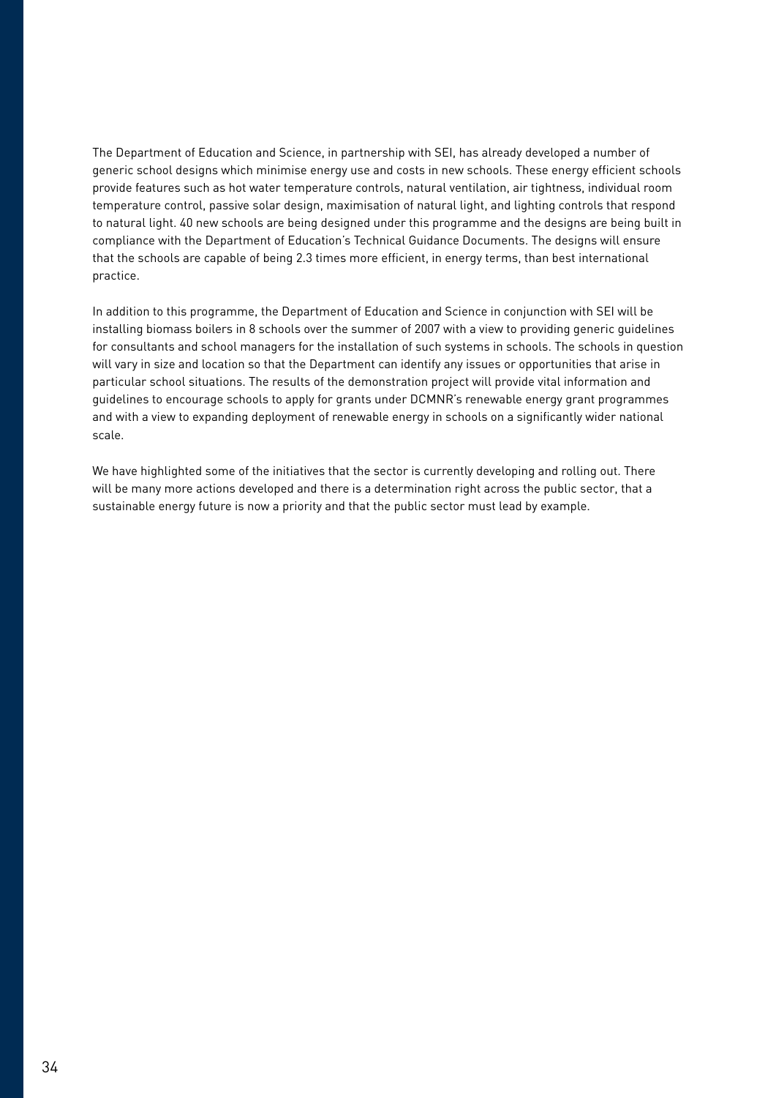The Department of Education and Science, in partnership with SEI, has already developed a number of generic school designs which minimise energy use and costs in new schools. These energy efficient schools provide features such as hot water temperature controls, natural ventilation, air tightness, individual room temperature control, passive solar design, maximisation of natural light, and lighting controls that respond to natural light. 40 new schools are being designed under this programme and the designs are being built in compliance with the Department of Education's Technical Guidance Documents. The designs will ensure that the schools are capable of being 2.3 times more efficient, in energy terms, than best international practice.

In addition to this programme, the Department of Education and Science in conjunction with SEI will be installing biomass boilers in 8 schools over the summer of 2007 with a view to providing generic guidelines for consultants and school managers for the installation of such systems in schools. The schools in question will vary in size and location so that the Department can identify any issues or opportunities that arise in particular school situations. The results of the demonstration project will provide vital information and guidelines to encourage schools to apply for grants under DCMNR's renewable energy grant programmes and with a view to expanding deployment of renewable energy in schools on a significantly wider national scale.

We have highlighted some of the initiatives that the sector is currently developing and rolling out. There will be many more actions developed and there is a determination right across the public sector, that a sustainable energy future is now a priority and that the public sector must lead by example.